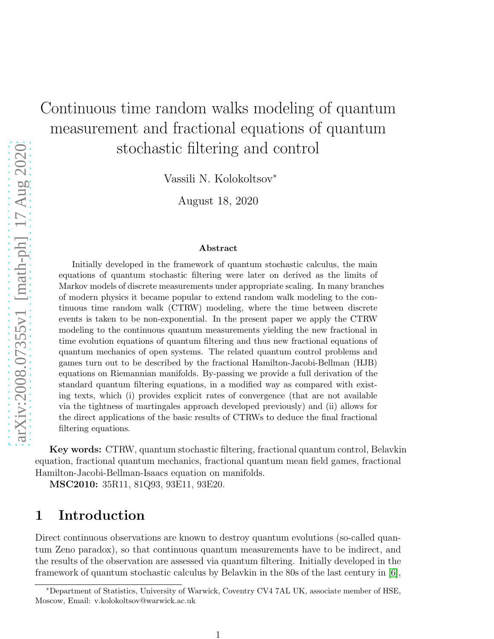# Continuous time random walks modeling of quantum measurement and fractional equations of quantum stochastic filtering and control

Vassili N. Kolokoltsov<sup>∗</sup>

August 18, 2020

#### Abstract

Initially developed in the framework of quantum stochastic calculus, the main equations of quantum stochastic filtering were later on derived as the limits of Markov models of discrete measurements under appropriate scaling. In many branches of modern physics it became popular to extend random walk modeling to the continuous time random walk (CTRW) modeling, where the time between discrete events is taken to be non-exponential. In the present paper we apply the CTRW modeling to the continuous quantum measurements yielding the new fractional in time evolution equations of quantum filtering and thus new fractional equations of quantum mechanics of open systems. The related quantum control problems and games turn out to be described by the fractional Hamilton-Jacobi-Bellman (HJB) equations on Riemannian manifolds. By-passing we provide a full derivation of the standard quantum filtering equations, in a modified way as compared with existing texts, which (i) provides explicit rates of convergence (that are not available via the tightness of martingales approach developed previously) and (ii) allows for the direct applications of the basic results of CTRWs to deduce the final fractional filtering equations.

Key words: CTRW, quantum stochastic filtering, fractional quantum control, Belavkin equation, fractional quantum mechanics, fractional quantum mean field games, fractional Hamilton-Jacobi-Bellman-Isaacs equation on manifolds.

MSC2010: 35R11, 81Q93, 93E11, 93E20.

#### 1 Introduction

Direct continuous observations are known to destroy quantum evolutions (so-called quantum Zeno paradox), so that continuous quantum measurements have to be indirect, and the results of the observation are assessed via quantum filtering. Initially developed in the framework of quantum stochastic calculus by Belavkin in the 80s of the last century in [\[6\]](#page-29-0),

<sup>∗</sup>Department of Statistics, University of Warwick, Coventry CV4 7AL UK, associate member of HSE, Moscow, Email: v.kolokoltsov@warwick.ac.uk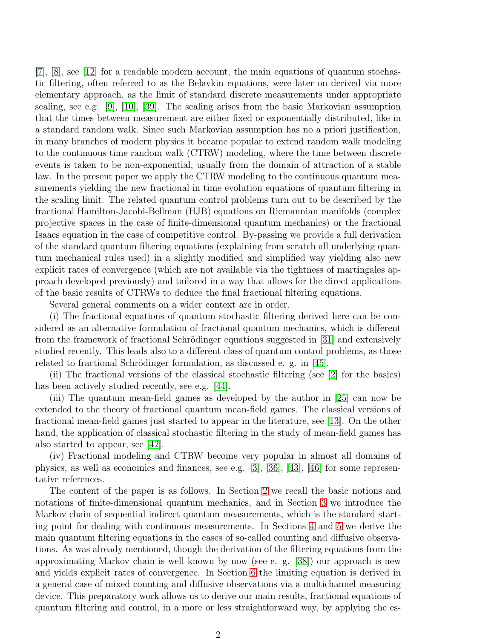[\[7\]](#page-29-1), [\[8\]](#page-29-2), see [\[12\]](#page-29-3) for a readable modern account, the main equations of quantum stochastic filtering, often referred to as the Belavkin equations, were later on derived via more elementary approach, as the limit of standard discrete measurements under appropriate scaling, see e.g. [\[9\]](#page-29-4), [\[10\]](#page-29-5), [\[39\]](#page-31-0). The scaling arises from the basic Markovian assumption that the times between measurement are either fixed or exponentially distributed, like in a standard random walk. Since such Markovian assumption has no a priori justification, in many branches of modern physics it became popular to extend random walk modeling to the continuous time random walk (CTRW) modeling, where the time between discrete events is taken to be non-exponential, usually from the domain of attraction of a stable law. In the present paper we apply the CTRW modeling to the continuous quantum measurements yielding the new fractional in time evolution equations of quantum filtering in the scaling limit. The related quantum control problems turn out to be described by the fractional Hamilton-Jacobi-Bellman (HJB) equations on Riemannian manifolds (complex projective spaces in the case of finite-dimensional quantum mechanics) or the fractional Isaacs equation in the case of competitive control. By-passing we provide a full derivation of the standard quantum filtering equations (explaining from scratch all underlying quantum mechanical rules used) in a slightly modified and simplified way yielding also new explicit rates of convergence (which are not available via the tightness of martingales approach developed previously) and tailored in a way that allows for the direct applications of the basic results of CTRWs to deduce the final fractional filtering equations.

Several general comments on a wider context are in order.

(i) The fractional equations of quantum stochastic filtering derived here can be considered as an alternative formulation of fractional quantum mechanics, which is different from the framework of fractional Schrödinger equations suggested in  $|31|$  and extensively studied recently. This leads also to a different class of quantum control problems, as those related to fractional Schrödinger formulation, as discussed e. g. in [\[45\]](#page-31-2).

(ii) The fractional versions of the classical stochastic filtering (see [\[2\]](#page-29-6) for the basics) has been actively studied recently, see e.g. [\[44\]](#page-31-3).

(iii) The quantum mean-field games as developed by the author in [\[25\]](#page-30-0) can now be extended to the theory of fractional quantum mean-field games. The classical versions of fractional mean-field games just started to appear in the literature, see [\[13\]](#page-29-7). On the other hand, the application of classical stochastic filtering in the study of mean-field games has also started to appear, see [\[42\]](#page-31-4).

(iv) Fractional modeling and CTRW become very popular in almost all domains of physics, as well as economics and finances, see e.g. [\[3\]](#page-29-8), [\[36\]](#page-31-5), [\[43\]](#page-31-6), [\[46\]](#page-31-7) for some representative references.

The content of the paper is as follows. In Section [2](#page-2-0) we recall the basic notions and notations of finite-dimensional quantum mechanics, and in Section [3](#page-4-0) we introduce the Markov chain of sequential indirect quantum measurements, which is the standard starting point for dealing with continuous measurements. In Sections [4](#page-5-0) and [5](#page-9-0) we derive the main quantum filtering equations in the cases of so-called counting and diffusive observations. As was already mentioned, though the derivation of the filtering equations from the approximating Markov chain is well known by now (see e. g. [\[38\]](#page-31-8)) our approach is new and yields explicit rates of convergence. In Section [6](#page-14-0) the limiting equation is derived in a general case of mixed counting and diffusive observations via a multichannel measuring device. This preparatory work allows us to derive our main results, fractional equations of quantum filtering and control, in a more or less straightforward way, by applying the es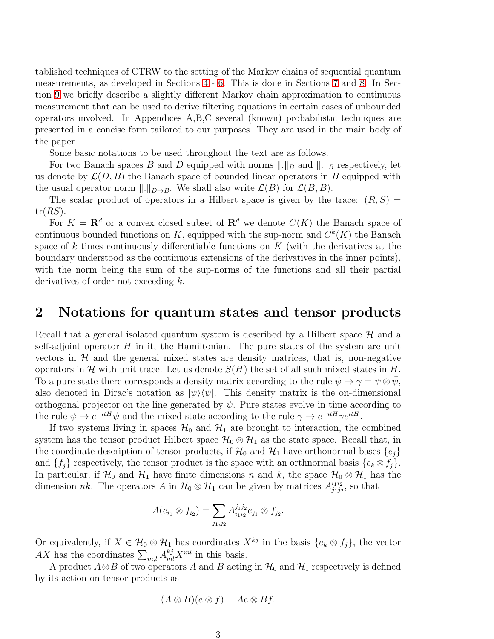tablished techniques of CTRW to the setting of the Markov chains of sequential quantum measurements, as developed in Sections [4](#page-5-0) - [6.](#page-14-0) This is done in Sections [7](#page-20-0) and [8.](#page-21-0) In Section [9](#page-23-0) we briefly describe a slightly different Markov chain approximation to continuous measurement that can be used to derive filtering equations in certain cases of unbounded operators involved. In Appendices A,B,C several (known) probabilistic techniques are presented in a concise form tailored to our purposes. They are used in the main body of the paper.

Some basic notations to be used throughout the text are as follows.

For two Banach spaces B and D equipped with norms  $\|.\|_B$  and  $\|.\|_B$  respectively, let us denote by  $\mathcal{L}(D, B)$  the Banach space of bounded linear operators in B equipped with the usual operator norm  $\|.\|_{D\to B}$ . We shall also write  $\mathcal{L}(B)$  for  $\mathcal{L}(B, B)$ .

The scalar product of operators in a Hilbert space is given by the trace:  $(R, S)$  =  $tr(RS)$ .

For  $K = \mathbf{R}^d$  or a convex closed subset of  $\mathbf{R}^d$  we denote  $C(K)$  the Banach space of continuous bounded functions on K, equipped with the sup-norm and  $C^k(K)$  the Banach space of  $k$  times continuously differentiable functions on  $K$  (with the derivatives at the boundary understood as the continuous extensions of the derivatives in the inner points), with the norm being the sum of the sup-norms of the functions and all their partial derivatives of order not exceeding k.

#### <span id="page-2-0"></span>2 Notations for quantum states and tensor products

Recall that a general isolated quantum system is described by a Hilbert space  $\mathcal{H}$  and a self-adjoint operator  $H$  in it, the Hamiltonian. The pure states of the system are unit vectors in  $H$  and the general mixed states are density matrices, that is, non-negative operators in H with unit trace. Let us denote  $S(H)$  the set of all such mixed states in H. To a pure state there corresponds a density matrix according to the rule  $\psi \to \gamma = \psi \otimes \psi$ , also denoted in Dirac's notation as  $|\psi\rangle\langle\psi|$ . This density matrix is the on-dimensional orthogonal projector on the line generated by  $\psi$ . Pure states evolve in time according to the rule  $\psi \to e^{-itH}\psi$  and the mixed state according to the rule  $\gamma \to e^{-itH}\gamma e^{itH}$ .

If two systems living in spaces  $\mathcal{H}_0$  and  $\mathcal{H}_1$  are brought to interaction, the combined system has the tensor product Hilbert space  $\mathcal{H}_0 \otimes \mathcal{H}_1$  as the state space. Recall that, in the coordinate description of tensor products, if  $\mathcal{H}_0$  and  $\mathcal{H}_1$  have orthonormal bases  $\{e_j\}$ and  $\{f_i\}$  respectively, the tensor product is the space with an orthnormal basis  $\{e_k \otimes f_j\}$ . In particular, if  $\mathcal{H}_0$  and  $\mathcal{H}_1$  have finite dimensions n and k, the space  $\mathcal{H}_0 \otimes \mathcal{H}_1$  has the dimension nk. The operators A in  $\mathcal{H}_0 \otimes \mathcal{H}_1$  can be given by matrices  $A_{j_1j_2}^{i_1i_2}$  $j_1j_2^{i_1i_2}$ , so that

$$
A(e_{i_1} \otimes f_{i_2}) = \sum_{j_1,j_2} A_{i_1i_2}^{j_1j_2} e_{j_1} \otimes f_{j_2}.
$$

Or equivalently, if  $X \in \mathcal{H}_0 \otimes \mathcal{H}_1$  has coordinates  $X^{kj}$  in the basis  $\{e_k \otimes f_j\}$ , the vector AX has the coordinates  $\sum_{m,l} A^{kj}_{ml} X^{ml}$  in this basis.

A product  $A\otimes B$  of two operators A and B acting in  $\mathcal{H}_0$  and  $\mathcal{H}_1$  respectively is defined by its action on tensor products as

$$
(A \otimes B)(e \otimes f) = Ae \otimes Bf.
$$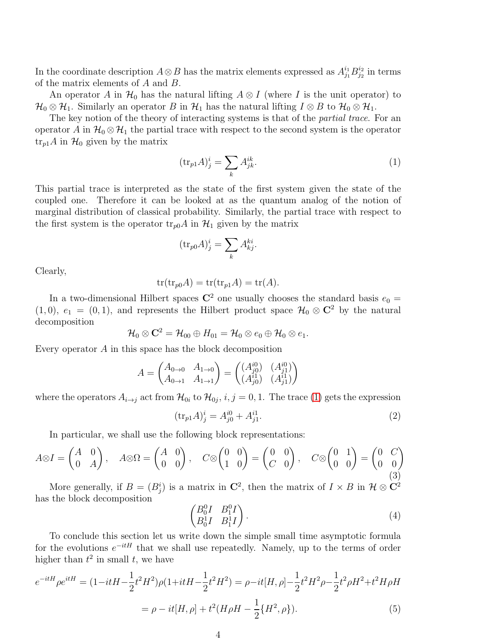In the coordinate description  $A \otimes B$  has the matrix elements expressed as  $A_{j_1}^{i_1} B_{j_2}^{i_2}$  $j_2^{i_2}$  in terms of the matrix elements of A and B.

An operator A in  $\mathcal{H}_0$  has the natural lifting  $A \otimes I$  (where I is the unit operator) to  $\mathcal{H}_0 \otimes \mathcal{H}_1$ . Similarly an operator B in  $\mathcal{H}_1$  has the natural lifting  $I \otimes B$  to  $\mathcal{H}_0 \otimes \mathcal{H}_1$ .

The key notion of the theory of interacting systems is that of the *partial trace*. For an operator A in  $\mathcal{H}_0 \otimes \mathcal{H}_1$  the partial trace with respect to the second system is the operator  $\text{tr}_{p1}A$  in  $\mathcal{H}_0$  given by the matrix

<span id="page-3-0"></span>
$$
(\text{tr}_{p1}A)^i_j = \sum_k A^{ik}_{jk}.\tag{1}
$$

This partial trace is interpreted as the state of the first system given the state of the coupled one. Therefore it can be looked at as the quantum analog of the notion of marginal distribution of classical probability. Similarly, the partial trace with respect to the first system is the operator  $\text{tr}_{p0}A$  in  $\mathcal{H}_1$  given by the matrix

$$
(\text{tr}_{p0}A)^i_j = \sum_k A^{ki}_{kj}.
$$

Clearly,

$$
tr(tr_{p0}A) = tr(tr_{p1}A) = tr(A).
$$

In a two-dimensional Hilbert spaces  $\mathbb{C}^2$  one usually chooses the standard basis  $e_0 =$ (1,0),  $e_1 = (0, 1)$ , and represents the Hilbert product space  $\mathcal{H}_0 \otimes \mathbb{C}^2$  by the natural decomposition

$$
\mathcal{H}_0\otimes \mathbf{C}^2=\mathcal{H}_{00}\oplus H_{01}=\mathcal{H}_0\otimes e_0\oplus \mathcal{H}_0\otimes e_1.
$$

Every operator A in this space has the block decomposition

$$
A = \begin{pmatrix} A_{0 \to 0} & A_{1 \to 0} \\ A_{0 \to 1} & A_{1 \to 1} \end{pmatrix} = \begin{pmatrix} (A_{j0}^{i0}) & (A_{j1}^{i0}) \\ (A_{j0}^{i1}) & (A_{j1}^{i1}) \end{pmatrix}
$$

where the operators  $A_{i\to j}$  act from  $\mathcal{H}_{0i}$  to  $\mathcal{H}_{0j}$ ,  $i, j = 0, 1$ . The trace [\(1\)](#page-3-0) gets the expression

<span id="page-3-4"></span>
$$
(\text{tr}_{p1}A)^{i}_{j} = A^{i0}_{j0} + A^{i1}_{j1}.
$$
\n(2)

In particular, we shall use the following block representations:

<span id="page-3-1"></span>
$$
A \otimes I = \begin{pmatrix} A & 0 \\ 0 & A \end{pmatrix}, \quad A \otimes \Omega = \begin{pmatrix} A & 0 \\ 0 & 0 \end{pmatrix}, \quad C \otimes \begin{pmatrix} 0 & 0 \\ 1 & 0 \end{pmatrix} = \begin{pmatrix} 0 & 0 \\ C & 0 \end{pmatrix}, \quad C \otimes \begin{pmatrix} 0 & 1 \\ 0 & 0 \end{pmatrix} = \begin{pmatrix} 0 & C \\ 0 & 0 \end{pmatrix}
$$

More generally, if  $B = (B_j^i)$  is a matrix in  $\mathbb{C}^2$ , then the matrix of  $I \times B$  in  $\mathcal{H} \otimes \mathbb{C}^2$ has the block decomposition

<span id="page-3-3"></span>
$$
\begin{pmatrix}\nB_0^0 I & B_1^0 I \\
B_0^1 I & B_1^1 I\n\end{pmatrix}.
$$
\n(4)

To conclude this section let us write down the simple small time asymptotic formula for the evolutions  $e^{-itH}$  that we shall use repeatedly. Namely, up to the terms of order higher than  $t^2$  in small  $t$ , we have

<span id="page-3-2"></span>
$$
e^{-itH}\rho e^{itH} = (1 - itH - \frac{1}{2}t^2H^2)\rho(1 + itH - \frac{1}{2}t^2H^2) = \rho - it[H, \rho] - \frac{1}{2}t^2H^2\rho - \frac{1}{2}t^2\rho H^2 + t^2H\rho H
$$

$$
= \rho - it[H, \rho] + t^2(H\rho H - \frac{1}{2}\{H^2, \rho\}).\tag{5}
$$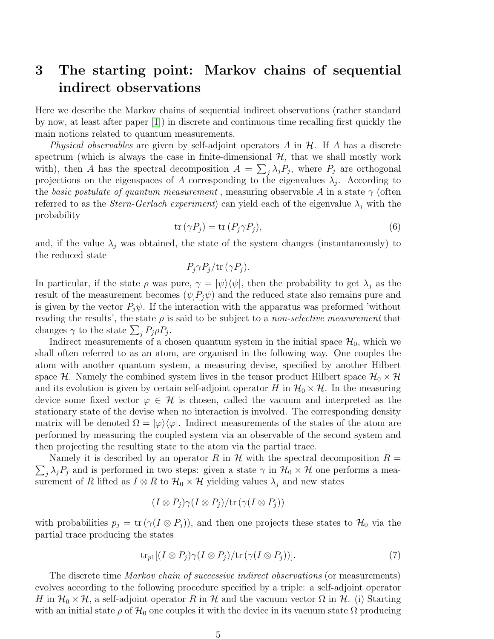### <span id="page-4-0"></span>3 The starting point: Markov chains of sequential indirect observations

Here we describe the Markov chains of sequential indirect observations (rather standard by now, at least after paper [\[1\]](#page-29-9)) in discrete and continuous time recalling first quickly the main notions related to quantum measurements.

Physical observables are given by self-adjoint operators  $A$  in  $H$ . If  $A$  has a discrete spectrum (which is always the case in finite-dimensional  $H$ , that we shall mostly work with), then A has the spectral decomposition  $A = \sum_j \lambda_j P_j$ , where  $P_j$  are orthogonal projections on the eigenspaces of A corresponding to the eigenvalues  $\lambda_j$ . According to the basic postulate of quantum measurement, measuring observable A in a state  $\gamma$  (often referred to as the *Stern-Gerlach experiment*) can yield each of the eigenvalue  $\lambda_i$  with the probability

<span id="page-4-1"></span>
$$
\operatorname{tr}\left(\gamma P_j\right) = \operatorname{tr}\left(P_j \gamma P_j\right),\tag{6}
$$

and, if the value  $\lambda_i$  was obtained, the state of the system changes (instantaneously) to the reduced state

$$
P_j \gamma P_j / \text{tr}(\gamma P_j).
$$

In particular, if the state  $\rho$  was pure,  $\gamma = |\psi\rangle\langle\psi|$ , then the probability to get  $\lambda_i$  as the result of the measurement becomes  $(\psi, P_i \psi)$  and the reduced state also remains pure and is given by the vector  $P_i\psi$ . If the interaction with the apparatus was preformed 'without reading the results', the state  $\rho$  is said to be subject to a *non-selective measurement* that changes  $\gamma$  to the state  $\sum_j P_j \rho P_j$ .

Indirect measurements of a chosen quantum system in the initial space  $\mathcal{H}_0$ , which we shall often referred to as an atom, are organised in the following way. One couples the atom with another quantum system, a measuring devise, specified by another Hilbert space H. Namely the combined system lives in the tensor product Hilbert space  $\mathcal{H}_0 \times \mathcal{H}$ and its evolution is given by certain self-adjoint operator H in  $\mathcal{H}_0 \times \mathcal{H}$ . In the measuring device some fixed vector  $\varphi \in \mathcal{H}$  is chosen, called the vacuum and interpreted as the stationary state of the devise when no interaction is involved. The corresponding density matrix will be denoted  $\Omega = |\varphi\rangle\langle\varphi|$ . Indirect measurements of the states of the atom are performed by measuring the coupled system via an observable of the second system and then projecting the resulting state to the atom via the partial trace.

 $\sum_j \lambda_j P_j$  and is performed in two steps: given a state  $\gamma$  in  $\mathcal{H}_0 \times \mathcal{H}$  one performs a mea-Namely it is described by an operator R in  $\mathcal H$  with the spectral decomposition  $R =$ surement of R lifted as  $I \otimes R$  to  $\mathcal{H}_0 \times \mathcal{H}$  yielding values  $\lambda_j$  and new states

$$
(I \otimes P_j) \gamma (I \otimes P_j)/\text{tr}(\gamma (I \otimes P_j))
$$

with probabilities  $p_j = \text{tr}(\gamma(I \otimes P_j))$ , and then one projects these states to  $\mathcal{H}_0$  via the partial trace producing the states

$$
\operatorname{tr}_{p1}[(I \otimes P_j)\gamma(I \otimes P_j)/\operatorname{tr}(\gamma(I \otimes P_j))].\tag{7}
$$

The discrete time Markov chain of successive indirect observations (or measurements) evolves according to the following procedure specified by a triple: a self-adjoint operator H in  $\mathcal{H}_0 \times \mathcal{H}$ , a self-adjoint operator R in H and the vacuum vector  $\Omega$  in H. (i) Starting with an initial state  $\rho$  of  $\mathcal{H}_0$  one couples it with the device in its vacuum state  $\Omega$  producing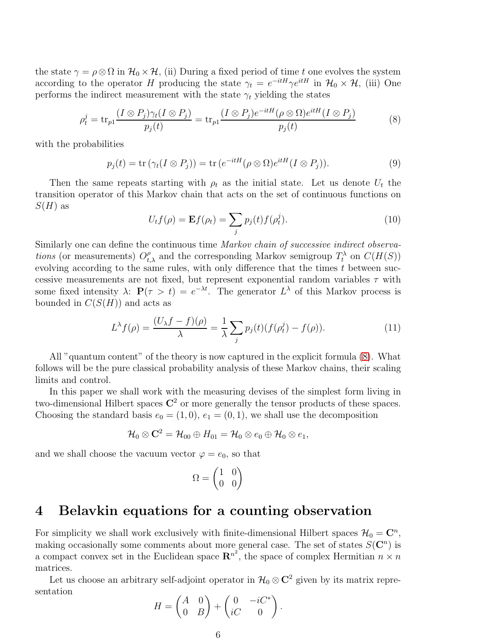the state  $\gamma = \rho \otimes \Omega$  in  $\mathcal{H}_0 \times \mathcal{H}$ , (ii) During a fixed period of time t one evolves the system according to the operator H producing the state  $\gamma_t = e^{-itH}\gamma e^{itH}$  in  $\mathcal{H}_0 \times \mathcal{H}$ , (iii) One performs the indirect measurement with the state  $\gamma_t$  yielding the states

<span id="page-5-1"></span>
$$
\rho_t^j = \text{tr}_{p1} \frac{(I \otimes P_j)\gamma_t(I \otimes P_j)}{p_j(t)} = \text{tr}_{p1} \frac{(I \otimes P_j)e^{-itH}(\rho \otimes \Omega)e^{itH}(I \otimes P_j)}{p_j(t)}
$$
(8)

with the probabilities

<span id="page-5-3"></span>
$$
p_j(t) = \text{tr}(\gamma_t(I \otimes P_j)) = \text{tr}(e^{-itH}(\rho \otimes \Omega)e^{itH}(I \otimes P_j)).
$$
\n(9)

Then the same repeats starting with  $\rho_t$  as the initial state. Let us denote  $U_t$  the transition operator of this Markov chain that acts on the set of continuous functions on  $S(H)$  as

$$
U_t f(\rho) = \mathbf{E} f(\rho_t) = \sum_j p_j(t) f(\rho_t^j).
$$
\n(10)

Similarly one can define the continuous time Markov chain of successive indirect observations (or measurements)  $O_{t,\lambda}^{\rho}$  and the corresponding Markov semigroup  $T_t^{\lambda}$  on  $C(H(S))$ evolving according to the same rules, with only difference that the times  $t$  between successive measurements are not fixed, but represent exponential random variables  $\tau$  with some fixed intensity  $\lambda$ :  $P(\tau > t) = e^{-\lambda t}$ . The generator  $L^{\lambda}$  of this Markov process is bounded in  $C(S(H))$  and acts as

<span id="page-5-2"></span>
$$
L^{\lambda}f(\rho) = \frac{(U_{\lambda}f - f)(\rho)}{\lambda} = \frac{1}{\lambda} \sum_{j} p_j(t)(f(\rho_t^j) - f(\rho)).
$$
\n(11)

All "quantum content" of the theory is now captured in the explicit formula [\(8\)](#page-5-1). What follows will be the pure classical probability analysis of these Markov chains, their scaling limits and control.

In this paper we shall work with the measuring devises of the simplest form living in two-dimensional Hilbert spaces  $\mathbb{C}^2$  or more generally the tensor products of these spaces. Choosing the standard basis  $e_0 = (1, 0), e_1 = (0, 1)$ , we shall use the decomposition

$$
\mathcal{H}_0\otimes \mathbf{C}^2=\mathcal{H}_{00}\oplus H_{01}=\mathcal{H}_0\otimes e_0\oplus \mathcal{H}_0\otimes e_1,
$$

and we shall choose the vacuum vector  $\varphi = e_0$ , so that

$$
\Omega = \begin{pmatrix} 1 & 0 \\ 0 & 0 \end{pmatrix}
$$

#### <span id="page-5-0"></span>4 Belavkin equations for a counting observation

For simplicity we shall work exclusively with finite-dimensional Hilbert spaces  $\mathcal{H}_0 = \mathbb{C}^n$ , making occasionally some comments about more general case. The set of states  $S(\mathbb{C}^n)$  is a compact convex set in the Euclidean space  $\mathbb{R}^{n^2}$ , the space of complex Hermitian  $n \times n$ matrices.

Let us choose an arbitrary self-adjoint operator in  $\mathcal{H}_0 \otimes \mathbb{C}^2$  given by its matrix representation

$$
H = \begin{pmatrix} A & 0 \\ 0 & B \end{pmatrix} + \begin{pmatrix} 0 & -iC^* \\ iC & 0 \end{pmatrix}.
$$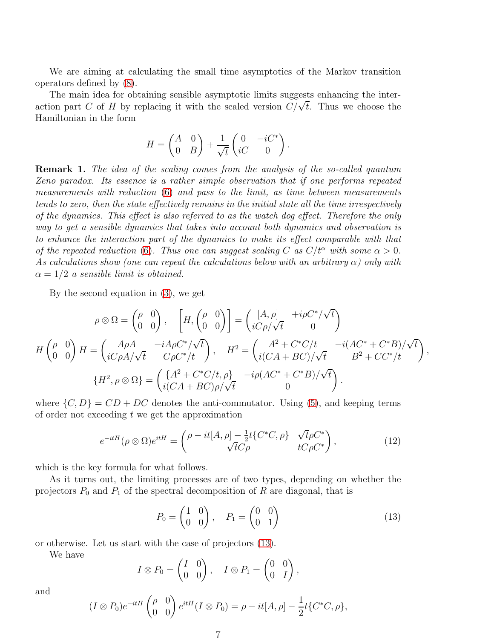We are aiming at calculating the small time asymptotics of the Markov transition operators defined by [\(8\)](#page-5-1).

The main idea for obtaining sensible asymptotic limits suggests enhancing the interaction part C of H by replacing it with the scaled version  $C/\sqrt{t}$ . Thus we choose the Hamiltonian in the form

$$
H = \begin{pmatrix} A & 0 \\ 0 & B \end{pmatrix} + \frac{1}{\sqrt{t}} \begin{pmatrix} 0 & -iC^* \\ iC & 0 \end{pmatrix}.
$$

Remark 1. The idea of the scaling comes from the analysis of the so-called quantum Zeno paradox. Its essence is a rather simple observation that if one performs repeated measurements with reduction [\(6\)](#page-4-1) and pass to the limit, as time between measurements tends to zero, then the state effectively remains in the initial state all the time irrespectively of the dynamics. This effect is also referred to as the watch dog effect. Therefore the only way to get a sensible dynamics that takes into account both dynamics and observation is to enhance the interaction part of the dynamics to make its effect comparable with that of the repeated reduction [\(6\)](#page-4-1). Thus one can suggest scaling C as  $C/t^{\alpha}$  with some  $\alpha > 0$ . As calculations show (one can repeat the calculations below with an arbitrary  $\alpha$ ) only with  $\alpha = 1/2$  a sensible limit is obtained.

By the second equation in [\(3\)](#page-3-1), we get

$$
\rho \otimes \Omega = \begin{pmatrix} \rho & 0 \\ 0 & 0 \end{pmatrix}, \quad \left[ H, \begin{pmatrix} \rho & 0 \\ 0 & 0 \end{pmatrix} \right] = \begin{pmatrix} [A, \rho] & +i\rho C^* / \sqrt{t} \\ iC\rho / \sqrt{t} & 0 \end{pmatrix}
$$

$$
H \begin{pmatrix} \rho & 0 \\ 0 & 0 \end{pmatrix} H = \begin{pmatrix} A\rho A & -iA\rho C^* / \sqrt{t} \\ iC\rho A / \sqrt{t} & C\rho C^* / t \end{pmatrix}, \quad H^2 = \begin{pmatrix} A^2 + C^* C / t & -i(A C^* + C^* B) / \sqrt{t} \\ i(C A + BC) / \sqrt{t} & B^2 + C C^* / t \end{pmatrix},
$$

$$
\{H^2, \rho \otimes \Omega\} = \begin{pmatrix} \{A^2 + C^* C / t, \rho\} & -i\rho (AC^* + C^* B) / \sqrt{t} \\ i(C A + BC) \rho / \sqrt{t} & 0 \end{pmatrix}.
$$

where  $\{C, D\} = CD + DC$  denotes the anti-commutator. Using [\(5\)](#page-3-2), and keeping terms of order not exceeding  $t$  we get the approximation

<span id="page-6-1"></span>
$$
e^{-itH}(\rho \otimes \Omega)e^{itH} = \begin{pmatrix} \rho - it[A, \rho] - \frac{1}{2}t\{C^*C, \rho\} & \sqrt{t}\rho C^* \\ \sqrt{t}C\rho & tC\rho C^* \end{pmatrix},
$$
(12)

which is the key formula for what follows.

As it turns out, the limiting processes are of two types, depending on whether the projectors  $P_0$  and  $P_1$  of the spectral decomposition of R are diagonal, that is

<span id="page-6-0"></span>
$$
P_0 = \begin{pmatrix} 1 & 0 \\ 0 & 0 \end{pmatrix}, \quad P_1 = \begin{pmatrix} 0 & 0 \\ 0 & 1 \end{pmatrix} \tag{13}
$$

or otherwise. Let us start with the case of projectors [\(13\)](#page-6-0).

We have

$$
I \otimes P_0 = \begin{pmatrix} I & 0 \\ 0 & 0 \end{pmatrix}, \quad I \otimes P_1 = \begin{pmatrix} 0 & 0 \\ 0 & I \end{pmatrix},
$$

and

$$
(I \otimes P_0)e^{-itH} \begin{pmatrix} \rho & 0 \\ 0 & 0 \end{pmatrix} e^{itH} (I \otimes P_0) = \rho - it[A, \rho] - \frac{1}{2}t \{C^*C, \rho\},
$$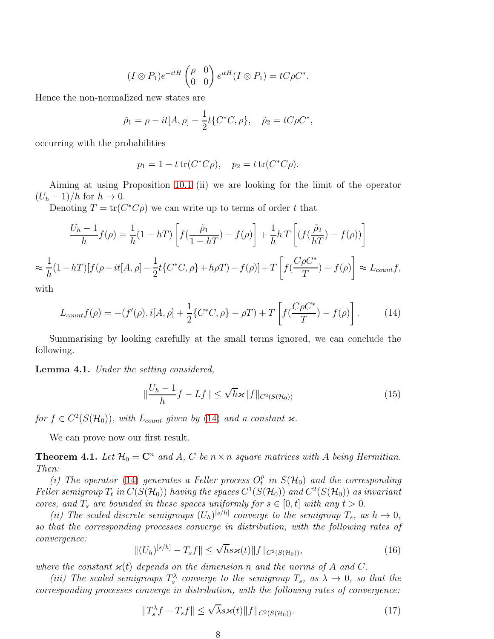$$
(I \otimes P_1)e^{-itH} \begin{pmatrix} \rho & 0 \\ 0 & 0 \end{pmatrix} e^{itH} (I \otimes P_1) = tC\rho C^*.
$$

Hence the non-normalized new states are

$$
\tilde{\rho}_1 = \rho - it[A, \rho] - \frac{1}{2}t\{C^*C, \rho\}, \quad \tilde{\rho}_2 = tC\rho C^*,
$$

occurring with the probabilities

$$
p_1 = 1 - t \operatorname{tr}(C^* C \rho), \quad p_2 = t \operatorname{tr}(C^* C \rho).
$$

Aiming at using Proposition [10.1](#page-24-0) (ii) we are looking for the limit of the operator  $(U_h - 1)/h$  for  $h \to 0$ .

Denoting  $T = \text{tr}(C^*C\rho)$  we can write up to terms of order t that

$$
\frac{U_h - 1}{h} f(\rho) = \frac{1}{h} (1 - hT) \left[ f(\frac{\tilde{\rho}_1}{1 - hT}) - f(\rho) \right] + \frac{1}{h} h T \left[ (f(\frac{\tilde{\rho}_2}{hT}) - f(\rho)) \right]
$$
  

$$
\approx \frac{1}{h} (1 - hT) [f(\rho - it[A, \rho] - \frac{1}{2} t \{ C^* C, \rho \} + h \rho T) - f(\rho)] + T \left[ f(\frac{C\rho C^*}{T}) - f(\rho) \right] \approx L_{count} f,
$$

with

<span id="page-7-0"></span>
$$
L_{count}f(\rho) = -(f'(\rho), i[A, \rho] + \frac{1}{2}\{C^*C, \rho\} - \rho T) + T\left[f(\frac{C\rho C^*}{T}) - f(\rho)\right].
$$
 (14)

Summarising by looking carefully at the small terms ignored, we can conclude the following.

<span id="page-7-1"></span>Lemma 4.1. Under the setting considered,

$$
\|\frac{U_h - 1}{h}f - Lf\| \le \sqrt{h}\varkappa \|f\|_{C^2(S(\mathcal{H}_0))}
$$
\n(15)

for  $f \in C^2(S(\mathcal{H}_0))$ , with  $L_{count}$  given by [\(14\)](#page-7-0) and a constant  $\varkappa$ .

We can prove now our first result.

<span id="page-7-2"></span>**Theorem 4.1.** Let  $\mathcal{H}_0 = \mathbb{C}^n$  and A, C be  $n \times n$  square matrices with A being Hermitian. Then:

(i) The operator [\(14\)](#page-7-0) generates a Feller process  $O_t^{\rho}$  $\frac{\rho}{t}$  in  $S(\mathcal{H}_0)$  and the corresponding Feller semigroup  $T_t$  in  $C(S(\mathcal{H}_0))$  having the spaces  $C^1(S(\mathcal{H}_0))$  and  $C^2(S(\mathcal{H}_0))$  as invariant cores, and  $T_s$  are bounded in these spaces uniformly for  $s \in [0, t]$  with any  $t > 0$ .

(ii) The scaled discrete semigroups  $(U_h)^{[s/h]}$  converge to the semigroup  $T_s$ , as  $h \to 0$ , so that the corresponding processes converge in distribution, with the following rates of convergence:

<span id="page-7-3"></span>
$$
||(U_h)^{[s/h]} - T_s f|| \le \sqrt{h} s \varkappa(t) ||f||_{C^2(S(\mathcal{H}_0))},
$$
\n(16)

where the constant  $\varkappa(t)$  depends on the dimension n and the norms of A and C.

(iii) The scaled semigroups  $T_s^{\lambda}$  converge to the semigroup  $T_s$ , as  $\lambda \to 0$ , so that the corresponding processes converge in distribution, with the following rates of convergence:

<span id="page-7-4"></span>
$$
||T_s^{\lambda}f - T_s f|| \le \sqrt{\lambda} s \varkappa(t) ||f||_{C^2(S(\mathcal{H}_0))}.
$$
\n(17)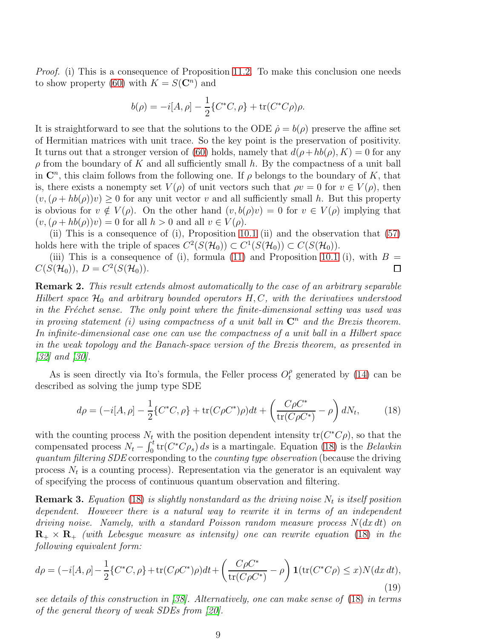*Proof.* (i) This is a consequence of Proposition [11.2.](#page-25-0) To make this conclusion one needs to show property [\(60\)](#page-25-1) with  $K = S(\mathbb{C}^n)$  and

$$
b(\rho) = -i[A, \rho] - \frac{1}{2} \{ C^*C, \rho \} + \text{tr}(C^*C\rho)\rho.
$$

It is straightforward to see that the solutions to the ODE  $\dot{\rho} = b(\rho)$  preserve the affine set of Hermitian matrices with unit trace. So the key point is the preservation of positivity. It turns out that a stronger version of [\(60\)](#page-25-1) holds, namely that  $d(\rho + hb(\rho), K) = 0$  for any  $\rho$  from the boundary of K and all sufficiently small h. By the compactness of a unit ball in  $\mathbb{C}^n$ , this claim follows from the following one. If  $\rho$  belongs to the boundary of K, that is, there exists a nonempty set  $V(\rho)$  of unit vectors such that  $\rho v = 0$  for  $v \in V(\rho)$ , then  $(v,(\rho + hb(\rho))v) \geq 0$  for any unit vector v and all sufficiently small h. But this property is obvious for  $v \notin V(\rho)$ . On the other hand  $(v, b(\rho)v) = 0$  for  $v \in V(\rho)$  implying that  $(v,(\rho + hb(\rho))v) = 0$  for all  $h > 0$  and all  $v \in V(\rho)$ .

(ii) This is a consequence of (i), Proposition [10.1](#page-24-0) (ii) and the observation that [\(57\)](#page-24-1) holds here with the triple of spaces  $C^2(S(\mathcal{H}_0)) \subset C^1(S(\mathcal{H}_0)) \subset C(S(\mathcal{H}_0)).$ 

(iii) This is a consequence of (i), formula [\(11\)](#page-5-2) and Proposition [10.1](#page-24-0) (i), with  $B =$  $C(S(\mathcal{H}_0)), D = C^2(S(\mathcal{H}_0)).$  $\Box$ 

<span id="page-8-1"></span>Remark 2. This result extends almost automatically to the case of an arbitrary separable Hilbert space  $\mathcal{H}_0$  and arbitrary bounded operators H, C, with the derivatives understood in the Fréchet sense. The only point where the finite-dimensional setting was used was in proving statement (i) using compactness of a unit ball in  $\mathbb{C}^n$  and the Brezis theorem. In infinite-dimensional case one can use the compactness of a unit ball in a Hilbert space in the weak topology and the Banach-space version of the Brezis theorem, as presented in  $|32|$  and  $|30|$ .

As is seen directly via Ito's formula, the Feller process  $O_t^{\rho}$  generated by [\(14\)](#page-7-0) can be described as solving the jump type SDE

<span id="page-8-0"></span>
$$
d\rho = (-i[A, \rho] - \frac{1}{2} \{ C^*C, \rho \} + \text{tr}(C\rho C^*)\rho)dt + \left( \frac{C\rho C^*}{\text{tr}(C\rho C^*)} - \rho \right) dN_t, \tag{18}
$$

with the counting process  $N_t$  with the position dependent intensity  $tr(C^*C\rho)$ , so that the compensated process  $N_t - \int_0^t tr(C^*C\rho_s) ds$  is a martingale. Equation [\(18\)](#page-8-0) is the Belavkin quantum filtering SDE corresponding to the counting type observation (because the driving process  $N_t$  is a counting process). Representation via the generator is an equivalent way of specifying the process of continuous quantum observation and filtering.

**Remark 3.** Equation [\(18\)](#page-8-0) is slightly nonstandard as the driving noise  $N_t$  is itself position dependent. However there is a natural way to rewrite it in terms of an independent driving noise. Namely, with a standard Poisson random measure process  $N(dx dt)$  on  $\mathbf{R}_{+} \times \mathbf{R}_{+}$  (with Lebesque measure as intensity) one can rewrite equation [\(18\)](#page-8-0) in the following equivalent form:

$$
d\rho = (-i[A, \rho] - \frac{1}{2} \{ C^*C, \rho \} + \text{tr}(C\rho C^*)\rho)dt + \left( \frac{C\rho C^*}{\text{tr}(C\rho C^*)} - \rho \right) \mathbf{1}(\text{tr}(C^*C\rho) \le x)N(dx\,dt),\tag{19}
$$

see details of this construction in [\[38\]](#page-31-8). Alternatively, one can make sense of [\(18\)](#page-8-0) in terms of the general theory of weak SDEs from [\[20\]](#page-30-2).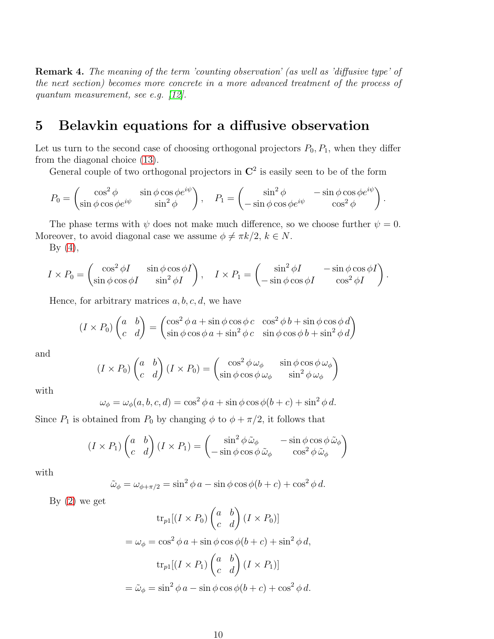Remark 4. The meaning of the term 'counting observation' (as well as 'diffusive type' of the next section) becomes more concrete in a more advanced treatment of the process of quantum measurement, see e.g. [\[12\]](#page-29-3).

#### <span id="page-9-0"></span>5 Belavkin equations for a diffusive observation

Let us turn to the second case of choosing orthogonal projectors  $P_0$ ,  $P_1$ , when they differ from the diagonal choice [\(13\)](#page-6-0).

General couple of two orthogonal projectors in  $\mathbb{C}^2$  is easily seen to be of the form

$$
P_0 = \begin{pmatrix} \cos^2 \phi & \sin \phi \cos \phi e^{i\psi} \\ \sin \phi \cos \phi e^{i\psi} & \sin^2 \phi \end{pmatrix}, \quad P_1 = \begin{pmatrix} \sin^2 \phi & -\sin \phi \cos \phi e^{i\psi} \\ -\sin \phi \cos \phi e^{i\psi} & \cos^2 \phi \end{pmatrix}.
$$

The phase terms with  $\psi$  does not make much difference, so we choose further  $\psi = 0$ . Moreover, to avoid diagonal case we assume  $\phi \neq \pi k/2, k \in N$ .

By  $(4)$ ,

$$
I \times P_0 = \begin{pmatrix} \cos^2 \phi I & \sin \phi \cos \phi I \\ \sin \phi \cos \phi I & \sin^2 \phi I \end{pmatrix}, \quad I \times P_1 = \begin{pmatrix} \sin^2 \phi I & -\sin \phi \cos \phi I \\ -\sin \phi \cos \phi I & \cos^2 \phi I \end{pmatrix}
$$

.

Hence, for arbitrary matrices  $a, b, c, d$ , we have

$$
(I \times P_0) \begin{pmatrix} a & b \\ c & d \end{pmatrix} = \begin{pmatrix} \cos^2 \phi a + \sin \phi \cos \phi c & \cos^2 \phi b + \sin \phi \cos \phi d \\ \sin \phi \cos \phi a + \sin^2 \phi c & \sin \phi \cos \phi b + \sin^2 \phi d \end{pmatrix}
$$

and

$$
(I \times P_0) \begin{pmatrix} a & b \\ c & d \end{pmatrix} (I \times P_0) = \begin{pmatrix} \cos^2 \phi \,\omega_{\phi} & \sin \phi \cos \phi \,\omega_{\phi} \\ \sin \phi \cos \phi \,\omega_{\phi} & \sin^2 \phi \,\omega_{\phi} \end{pmatrix}
$$

with

$$
\omega_{\phi} = \omega_{\phi}(a, b, c, d) = \cos^2 \phi \, a + \sin \phi \cos \phi (b + c) + \sin^2 \phi \, d.
$$

Since  $P_1$  is obtained from  $P_0$  by changing  $\phi$  to  $\phi + \pi/2$ , it follows that

$$
(I \times P_1) \begin{pmatrix} a & b \\ c & d \end{pmatrix} (I \times P_1) = \begin{pmatrix} \sin^2 \phi \tilde{\omega}_{\phi} & -\sin \phi \cos \phi \tilde{\omega}_{\phi} \\ -\sin \phi \cos \phi \tilde{\omega}_{\phi} & \cos^2 \phi \tilde{\omega}_{\phi} \end{pmatrix}
$$

with

$$
\tilde{\omega}_{\phi} = \omega_{\phi + \pi/2} = \sin^2 \phi \, a - \sin \phi \cos \phi (b + c) + \cos^2 \phi \, d.
$$

By  $(2)$  we get

$$
\operatorname{tr}_{p1}[(I \times P_0) \begin{pmatrix} a & b \\ c & d \end{pmatrix} (I \times P_0)]
$$
  
=  $\omega_{\phi} = \cos^2 \phi \, a + \sin \phi \cos \phi (b + c) + \sin^2 \phi \, d$ ,  

$$
\operatorname{tr}_{p1}[(I \times P_1) \begin{pmatrix} a & b \\ c & d \end{pmatrix} (I \times P_1)]
$$
  
=  $\tilde{\omega}_{\phi} = \sin^2 \phi \, a - \sin \phi \cos \phi (b + c) + \cos^2 \phi \, d$ .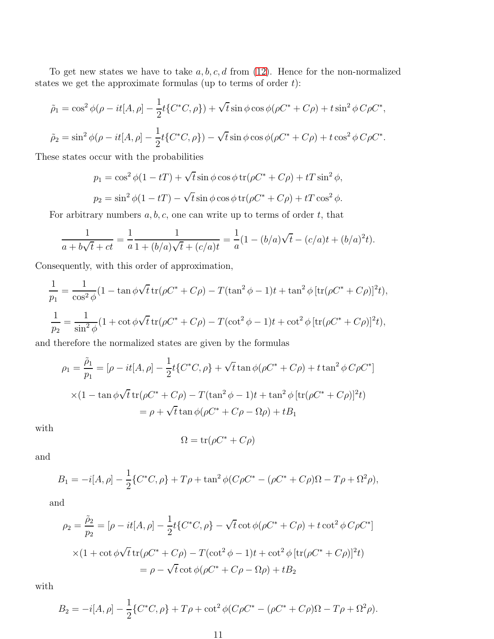To get new states we have to take  $a, b, c, d$  from  $(12)$ . Hence for the non-normalized states we get the approximate formulas (up to terms of order  $t$ ):

$$
\tilde{\rho}_1 = \cos^2 \phi (\rho - it[A, \rho] - \frac{1}{2} t \{ C^* C, \rho \}) + \sqrt{t} \sin \phi \cos \phi (\rho C^* + C\rho) + t \sin^2 \phi C\rho C^*,
$$
  

$$
\tilde{\rho}_2 = \sin^2 \phi (\rho - it[A, \rho] - \frac{1}{2} t \{ C^* C, \rho \}) - \sqrt{t} \sin \phi \cos \phi (\rho C^* + C\rho) + t \cos^2 \phi C\rho C^*.
$$

These states occur with the probabilities

$$
p_1 = \cos^2 \phi (1 - tT) + \sqrt{t} \sin \phi \cos \phi \operatorname{tr}(\rho C^* + C\rho) + tT \sin^2 \phi,
$$
  

$$
p_2 = \sin^2 \phi (1 - tT) - \sqrt{t} \sin \phi \cos \phi \operatorname{tr}(\rho C^* + C\rho) + tT \cos^2 \phi.
$$

For arbitrary numbers  $a, b, c$ , one can write up to terms of order  $t$ , that

$$
\frac{1}{a+b\sqrt{t}+ct} = \frac{1}{a} \frac{1}{1+(b/a)\sqrt{t}+(c/a)t} = \frac{1}{a}(1-(b/a)\sqrt{t}-(c/a)t+(b/a)^2t).
$$

Consequently, with this order of approximation,

$$
\frac{1}{p_1} = \frac{1}{\cos^2 \phi} (1 - \tan \phi \sqrt{t} \operatorname{tr}(\rho C^* + C\rho) - T(\tan^2 \phi - 1)t + \tan^2 \phi [\operatorname{tr}(\rho C^* + C\rho)]^2 t),
$$
  

$$
\frac{1}{p_2} = \frac{1}{\sin^2 \phi} (1 + \cot \phi \sqrt{t} \operatorname{tr}(\rho C^* + C\rho) - T(\cot^2 \phi - 1)t + \cot^2 \phi [\operatorname{tr}(\rho C^* + C\rho)]^2 t),
$$

and therefore the normalized states are given by the formulas

$$
\rho_1 = \frac{\tilde{\rho}_1}{p_1} = [\rho - it[A, \rho] - \frac{1}{2}t\{C^*C, \rho\} + \sqrt{t}\tan\phi(\rho C^* + C\rho) + t\tan^2\phi C\rho C^*]
$$
  
×(1 - tan  $\phi\sqrt{t}$  tr( $\rho C^* + C\rho$ ) - T(tan<sup>2</sup>  $\phi$  - 1)t + tan<sup>2</sup>  $\phi$  [tr( $\rho C^* + C\rho$ )]<sup>2</sup>t)  
=  $\rho + \sqrt{t}\tan\phi(\rho C^* + C\rho - \Omega\rho) + tB_1$ 

with

$$
\Omega = \text{tr}(\rho C^* + C\rho)
$$

and

$$
B_1 = -i[A, \rho] - \frac{1}{2} \{ C^*C, \rho \} + T\rho + \tan^2 \phi (C\rho C^* - (\rho C^* + C\rho) \Omega - T\rho + \Omega^2 \rho ),
$$

and

$$
\rho_2 = \frac{\tilde{\rho}_2}{p_2} = [\rho - it[A, \rho] - \frac{1}{2}t\{C^*C, \rho\} - \sqrt{t}\cot\phi(\rho C^* + C\rho) + t\cot^2\phi C\rho C^*]
$$
  
×(1 + \cot\phi\sqrt{t}\operatorname{tr}(\rho C^\* + C\rho) - T(\cot^2\phi - 1)t + \cot^2\phi [\operatorname{tr}(\rho C^\* + C\rho)]^2t)  
= \rho - \sqrt{t}\cot\phi(\rho C^\* + C\rho - \Omega\rho) + tB\_2

with

$$
B_2 = -i[A, \rho] - \frac{1}{2} \{ C^* C, \rho \} + T\rho + \cot^2 \phi (C\rho C^* - (\rho C^* + C\rho) \Omega - T\rho + \Omega^2 \rho).
$$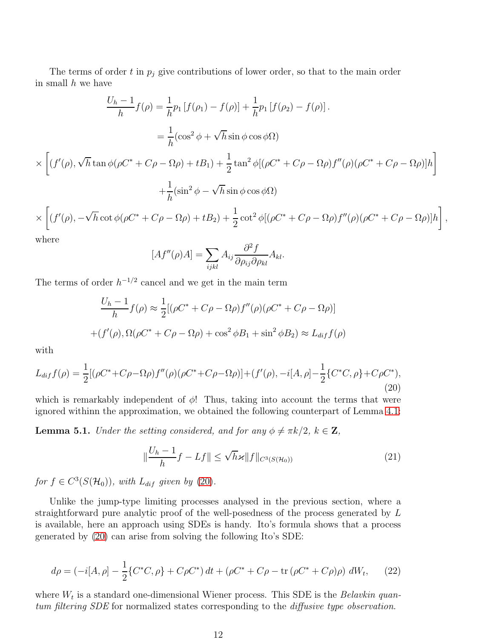The terms of order t in  $p_i$  give contributions of lower order, so that to the main order in small  $h$  we have

$$
\frac{U_h - 1}{h} f(\rho) = \frac{1}{h} p_1 \left[ f(\rho_1) - f(\rho) \right] + \frac{1}{h} p_1 \left[ f(\rho_2) - f(\rho) \right].
$$
  
\n
$$
= \frac{1}{h} (\cos^2 \phi + \sqrt{h} \sin \phi \cos \phi \Omega)
$$
  
\n
$$
\times \left[ (f'(\rho), \sqrt{h} \tan \phi (\rho C^* + C\rho - \Omega \rho) + tB_1) + \frac{1}{2} \tan^2 \phi \left[ (\rho C^* + C\rho - \Omega \rho) f''(\rho) (\rho C^* + C\rho - \Omega \rho) \right] h \right]
$$
  
\n
$$
+ \frac{1}{h} (\sin^2 \phi - \sqrt{h} \sin \phi \cos \phi \Omega)
$$
  
\n
$$
\times \left[ (f'(\rho), -\sqrt{h} \cot \phi (\rho C^* + C\rho - \Omega \rho) + tB_2) + \frac{1}{2} \cot^2 \phi \left[ (\rho C^* + C\rho - \Omega \rho) f''(\rho) (\rho C^* + C\rho - \Omega \rho) \right] h \right],
$$

where

$$
[Af''(\rho)A] = \sum_{ijkl} A_{ij} \frac{\partial^2 f}{\partial \rho_{ij} \partial \rho_{kl}} A_{kl}.
$$

The terms of order  $h^{-1/2}$  cancel and we get in the main term

$$
\frac{U_h - 1}{h} f(\rho) \approx \frac{1}{2} [(\rho C^* + C\rho - \Omega \rho) f''(\rho) (\rho C^* + C\rho - \Omega \rho)]
$$
  
+ 
$$
(f'(\rho), \Omega(\rho C^* + C\rho - \Omega \rho) + \cos^2 \phi B_1 + \sin^2 \phi B_2) \approx L_{diff} f(\rho)
$$

with

<span id="page-11-0"></span>
$$
L_{diff}(\rho) = \frac{1}{2} [(\rho C^* + C\rho - \Omega \rho) f''(\rho) (\rho C^* + C\rho - \Omega \rho)] + (f'(\rho), -i[A, \rho] - \frac{1}{2} \{C^*C, \rho\} + C\rho C^*),
$$
\n(20)

which is remarkably independent of  $\phi$ ! Thus, taking into account the terms that were ignored withinn the approximation, we obtained the following counterpart of Lemma [4.1:](#page-7-1)

**Lemma 5.1.** Under the setting considered, and for any  $\phi \neq \pi k/2$ ,  $k \in \mathbb{Z}$ ,

$$
\|\frac{U_h - 1}{h}f - Lf\| \le \sqrt{h}\varkappa \|f\|_{C^3(S(\mathcal{H}_0))}
$$
\n(21)

for  $f \in C^3(S(\mathcal{H}_0))$ , with  $L_{dif}$  given by [\(20\)](#page-11-0).

Unlike the jump-type limiting processes analysed in the previous section, where a straightforward pure analytic proof of the well-posedness of the process generated by L is available, here an approach using SDEs is handy. Ito's formula shows that a process generated by [\(20\)](#page-11-0) can arise from solving the following Ito's SDE:

<span id="page-11-1"></span>
$$
d\rho = (-i[A,\rho] - \frac{1}{2} \{C^*C,\rho\} + C\rho C^*\right) dt + (\rho C^* + C\rho - \text{tr}(\rho C^* + C\rho)\rho) dW_t, \tag{22}
$$

where  $W_t$  is a standard one-dimensional Wiener process. This SDE is the *Belavkin quan*tum filtering SDE for normalized states corresponding to the diffusive type observation.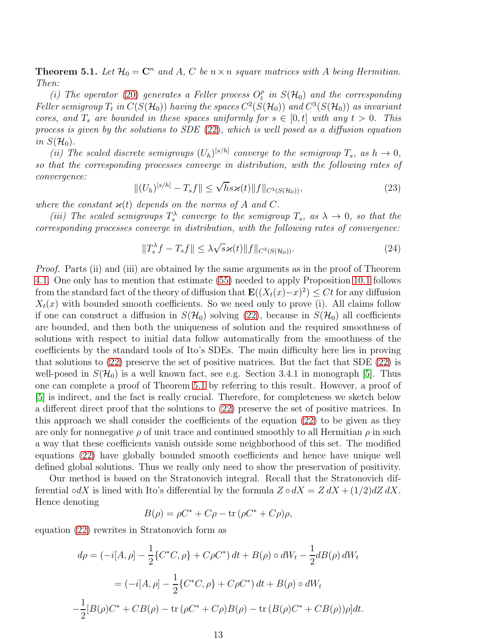<span id="page-12-0"></span>**Theorem 5.1.** Let  $\mathcal{H}_0 = \mathbb{C}^n$  and A, C be  $n \times n$  square matrices with A being Hermitian. Then:

(i) The operator [\(20\)](#page-11-0) generates a Feller process  $O_t^{\rho}$  $t_{t}^{\rho}$  in  $S(\mathcal{H}_{0})$  and the corresponding Feller semigroup  $T_t$  in  $C(S(\mathcal{H}_0))$  having the spaces  $C^2(S(\mathcal{H}_0))$  and  $C^3(S(\mathcal{H}_0))$  as invariant cores, and  $T_s$  are bounded in these spaces uniformly for  $s \in [0, t]$  with any  $t > 0$ . This process is given by the solutions to SDE [\(22\)](#page-11-1), which is well posed as a diffusion equation in  $S(\mathcal{H}_0)$ .

(ii) The scaled discrete semigroups  $(U_h)^{[s/h]}$  converge to the semigroup  $T_s$ , as  $h \to 0$ , so that the corresponding processes converge in distribution, with the following rates of convergence:

$$
||(U_h)^{[s/h]} - T_s f|| \le \sqrt{h} s \varkappa(t) ||f||_{C^3(S(\mathcal{H}_0))},
$$
\n(23)

where the constant  $\varkappa(t)$  depends on the norms of A and C.

(iii) The scaled semigroups  $T_s^{\lambda}$  converge to the semigroup  $T_s$ , as  $\lambda \to 0$ , so that the corresponding processes converge in distribution, with the following rates of convergence:

$$
||T_s^{\lambda}f - T_s f|| \leq \lambda \sqrt{s} \varkappa(t) ||f||_{C^3(S(\mathcal{H}_0))}.
$$
\n(24)

Proof. Parts (ii) and (iii) are obtained by the same arguments as in the proof of Theorem [4.1.](#page-7-2) One only has to mention that estimate [\(55\)](#page-24-2) needed to apply Proposition [10.1](#page-24-0) follows from the standard fact of the theory of diffusion that  $\mathbf{E}((X_t(x)-x)^2) \leq Ct$  for any diffusion  $X_t(x)$  with bounded smooth coefficients. So we need only to prove (i). All claims follow if one can construct a diffusion in  $S(\mathcal{H}_0)$  solving [\(22\)](#page-11-1), because in  $S(\mathcal{H}_0)$  all coefficients are bounded, and then both the uniqueness of solution and the required smoothness of solutions with respect to initial data follow automatically from the smoothness of the coefficients by the standard tools of Ito's SDEs. The main difficulty here lies in proving that solutions to [\(22\)](#page-11-1) preserve the set of positive matrices. But the fact that SDE [\(22\)](#page-11-1) is well-posed in  $S(\mathcal{H}_0)$  is a well known fact, see e.g. Section 3.4.1 in monograph [\[5\]](#page-29-10). Thus one can complete a proof of Theorem [5.1](#page-12-0) by referring to this result. However, a proof of [\[5\]](#page-29-10) is indirect, and the fact is really crucial. Therefore, for completeness we sketch below a different direct proof that the solutions to [\(22\)](#page-11-1) preserve the set of positive matrices. In this approach we shall consider the coefficients of the equation [\(22\)](#page-11-1) to be given as they are only for nonnegative  $\rho$  of unit trace and continued smoothly to all Hermitian  $\rho$  in such a way that these coefficients vanish outside some neighborhood of this set. The modified equations [\(22\)](#page-11-1) have globally bounded smooth coefficients and hence have unique well defined global solutions. Thus we really only need to show the preservation of positivity.

Our method is based on the Stratonovich integral. Recall that the Stratonovich differential ∘dX is lined with Ito's differential by the formula  $Z \circ dX = Z dX + (1/2)dZ dX$ . Hence denoting

$$
B(\rho) = \rho C^* + C\rho - \text{tr}(\rho C^* + C\rho)\rho,
$$

equation [\(22\)](#page-11-1) rewrites in Stratonovich form as

$$
d\rho = (-i[A, \rho] - \frac{1}{2} \{C^*C, \rho\} + C\rho C^*) dt + B(\rho) \circ dW_t - \frac{1}{2} dB(\rho) dW_t
$$
  

$$
= (-i[A, \rho] - \frac{1}{2} \{C^*C, \rho\} + C\rho C^*) dt + B(\rho) \circ dW_t
$$
  

$$
-\frac{1}{2} [B(\rho)C^* + CB(\rho) - \text{tr}(\rho C^* + C\rho)B(\rho) - \text{tr}(B(\rho)C^* + CB(\rho))\rho] dt.
$$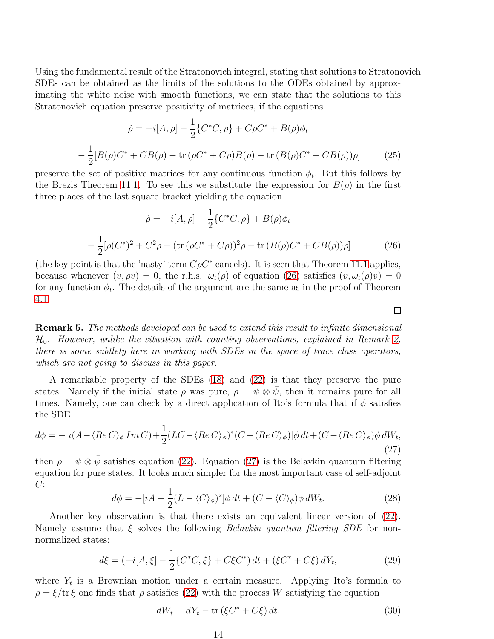Using the fundamental result of the Stratonovich integral, stating that solutions to Stratonovich SDEs can be obtained as the limits of the solutions to the ODEs obtained by approximating the white noise with smooth functions, we can state that the solutions to this Stratonovich equation preserve positivity of matrices, if the equations

$$
\dot{\rho} = -i[A, \rho] - \frac{1}{2} \{ C^* C, \rho \} + C \rho C^* + B(\rho) \phi_t
$$

$$
- \frac{1}{2} [B(\rho) C^* + C B(\rho) - \text{tr} (\rho C^* + C \rho) B(\rho) - \text{tr} (B(\rho) C^* + C B(\rho)) \rho ] \tag{25}
$$

preserve the set of positive matrices for any continuous function  $\phi_t$ . But this follows by the Brezis Theorem [11.1.](#page-25-2) To see this we substitute the expression for  $B(\rho)$  in the first three places of the last square bracket yielding the equation

<span id="page-13-0"></span>
$$
\dot{\rho} = -i[A, \rho] - \frac{1}{2} \{ C^* C, \rho \} + B(\rho) \phi_t
$$

$$
- \frac{1}{2} [\rho (C^*)^2 + C^2 \rho + (\text{tr} (\rho C^* + C\rho))^2 \rho - \text{tr} (B(\rho) C^* + C B(\rho)) \rho]
$$
(26)

(the key point is that the 'nasty' term  $C\rho C^*$  cancels). It is seen that Theorem [11.1](#page-25-2) applies, because whenever  $(v, \rho v) = 0$ , the r.h.s.  $\omega_t(\rho)$  of equation [\(26\)](#page-13-0) satisfies  $(v, \omega_t(\rho)v) = 0$ for any function  $\phi_t$ . The details of the argument are the same as in the proof of Theorem [4.1.](#page-7-2)

Remark 5. The methods developed can be used to extend this result to infinite dimensional  $\mathcal{H}_0$ . However, unlike the situation with counting observations, explained in Remark [2,](#page-8-1) there is some subtlety here in working with SDEs in the space of trace class operators, which are not going to discuss in this paper.

A remarkable property of the SDEs [\(18\)](#page-8-0) and [\(22\)](#page-11-1) is that they preserve the pure states. Namely if the initial state  $\rho$  was pure,  $\rho = \psi \otimes \bar{\psi}$ , then it remains pure for all times. Namely, one can check by a direct application of Ito's formula that if  $\phi$  satisfies the SDE

<span id="page-13-1"></span>
$$
d\phi = -[i(A - \langle Re C \rangle_{\phi} Im C) + \frac{1}{2}(LC - \langle Re C \rangle_{\phi})^* (C - \langle Re C \rangle_{\phi})] \phi dt + (C - \langle Re C \rangle_{\phi}) \phi dW_t,
$$
\n(27)

then  $\rho = \psi \otimes \bar{\psi}$  satisfies equation [\(22\)](#page-11-1). Equation [\(27\)](#page-13-1) is the Belavkin quantum filtering equation for pure states. It looks much simpler for the most important case of self-adjoint  $C$ :

<span id="page-13-3"></span>
$$
d\phi = -[iA + \frac{1}{2}(L - \langle C \rangle_{\phi})^2] \phi dt + (C - \langle C \rangle_{\phi}) \phi dW_t.
$$
 (28)

Another key observation is that there exists an equivalent linear version of [\(22\)](#page-11-1). Namely assume that  $\xi$  solves the following *Belavkin quantum filtering SDE* for nonnormalized states:

<span id="page-13-2"></span>
$$
d\xi = (-i[A,\xi] - \frac{1}{2} \{C^*C,\xi\} + C\xi C^*) dt + (\xi C^* + C\xi) dY_t,
$$
\n(29)

where  $Y_t$  is a Brownian motion under a certain measure. Applying Ito's formula to  $\rho = \xi/\text{tr}\,\xi$  one finds that  $\rho$  satisfies [\(22\)](#page-11-1) with the process W satisfying the equation

$$
dW_t = dY_t - \text{tr}(\xi C^* + C\xi) dt. \tag{30}
$$

 $\Box$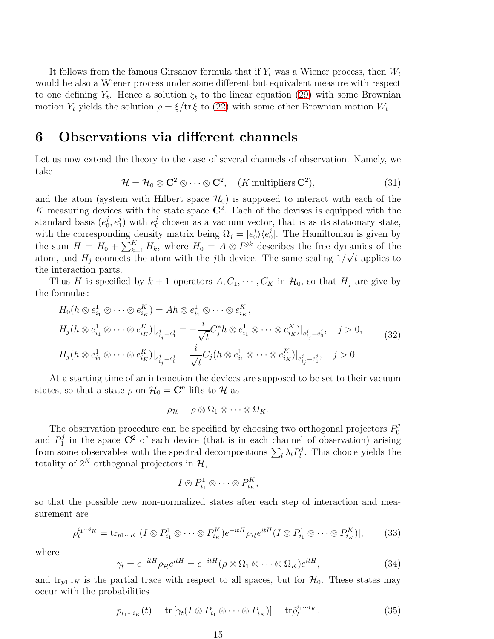It follows from the famous Girsanov formula that if  $Y_t$  was a Wiener process, then  $W_t$ would be also a Wiener process under some different but equivalent measure with respect to one defining  $Y_t$ . Hence a solution  $\xi_t$  to the linear equation [\(29\)](#page-13-2) with some Brownian motion  $Y_t$  yields the solution  $\rho = \xi/\text{tr}\,\xi$  to [\(22\)](#page-11-1) with some other Brownian motion  $W_t$ .

#### <span id="page-14-0"></span>6 Observations via different channels

Let us now extend the theory to the case of several channels of observation. Namely, we take

$$
\mathcal{H} = \mathcal{H}_0 \otimes \mathbf{C}^2 \otimes \cdots \otimes \mathbf{C}^2, \quad (K \text{ multipliers } \mathbf{C}^2), \tag{31}
$$

and the atom (system with Hilbert space  $\mathcal{H}_0$ ) is supposed to interact with each of the K measuring devices with the state space  $\mathbb{C}^2$ . Each of the devises is equipped with the standard basis  $(e_0^j)$  $_{0}^{j},e_{1}^{j}$  $j_1$ ) with  $e_0^j$  $\delta_0^j$  chosen as a vacuum vector, that is as its stationary state, with the corresponding density matrix being  $\Omega_j = |e_0^j|$  $\langle e_0^j \rangle \langle e_0^j$  $\int_0^{\jmath}$ . The Hamiltonian is given by the sum  $H = H_0 + \sum_{k=1}^K H_k$ , where  $H_0 = A \otimes I^{\otimes k}$  describes the free dynamics of the atom, and  $H_j$  connects the atom with the *j*th device. The same scaling  $1/\sqrt{t}$  applies to the interaction parts.

Thus H is specified by  $k + 1$  operators  $A, C_1, \dots, C_K$  in  $\mathcal{H}_0$ , so that  $H_j$  are give by the formulas:

<span id="page-14-3"></span>
$$
H_0(h \otimes e_{i_1}^1 \otimes \cdots \otimes e_{i_K}^K) = Ah \otimes e_{i_1}^1 \otimes \cdots \otimes e_{i_K}^K,
$$
  
\n
$$
H_j(h \otimes e_{i_1}^1 \otimes \cdots \otimes e_{i_K}^K)|_{e_{i_j}^j = e_i^j} = -\frac{i}{\sqrt{t}} C_j^* h \otimes e_{i_1}^1 \otimes \cdots \otimes e_{i_K}^K)|_{e_{i_j}^j = e_i^j}, \quad j > 0,
$$
  
\n
$$
H_j(h \otimes e_{i_1}^1 \otimes \cdots \otimes e_{i_K}^K)|_{e_{i_j}^j = e_j^j} = \frac{i}{\sqrt{t}} C_j(h \otimes e_{i_1}^1 \otimes \cdots \otimes e_{i_K}^K)|_{e_{i_j}^j = e_i^j}, \quad j > 0.
$$
  
\n(32)

At a starting time of an interaction the devices are supposed to be set to their vacuum states, so that a state  $\rho$  on  $\mathcal{H}_0 = \mathbb{C}^n$  lifts to  $\mathcal{H}$  as

$$
\rho_{\mathcal{H}} = \rho \otimes \Omega_1 \otimes \cdots \otimes \Omega_K.
$$

The observation procedure can be specified by choosing two orthogonal projectors  $P_0^j$ 0 and  $P_1^j$  $\mathbb{C}^1$  in the space  $\mathbb{C}^2$  of each device (that is in each channel of observation) arising from some observables with the spectral decompositions  $\sum_l \lambda_l P_l^j$  $l<sub>l</sub><sup>j</sup>$ . This choice yields the totality of  $2^K$  orthogonal projectors in  $\mathcal{H}$ ,

$$
I\otimes P_{i_1}^1\otimes\cdots\otimes P_{i_K}^K,
$$

so that the possible new non-normalized states after each step of interaction and measurement are

<span id="page-14-4"></span>
$$
\tilde{\rho}_t^{i_1\cdots i_K} = \text{tr}_{p1\cdots K}[(I \otimes P_{i_1}^1 \otimes \cdots \otimes P_{i_K}^K)e^{-itH}\rho_{\mathcal{H}}e^{itH}(I \otimes P_{i_1}^1 \otimes \cdots \otimes P_{i_K}^K)],\tag{33}
$$

where

<span id="page-14-1"></span>
$$
\gamma_t = e^{-itH} \rho_{\mathcal{H}} e^{itH} = e^{-itH} (\rho \otimes \Omega_1 \otimes \cdots \otimes \Omega_K) e^{itH}, \tag{34}
$$

and  $\text{tr}_{p1\cdots K}$  is the partial trace with respect to all spaces, but for  $\mathcal{H}_0$ . These states may occur with the probabilities

<span id="page-14-2"></span>
$$
p_{i_1\cdots i_K}(t) = \text{tr}\left[\gamma_t(I \otimes P_{i_1} \otimes \cdots \otimes P_{i_K})\right] = \text{tr}\tilde{\rho}_t^{i_1\cdots i_K}.
$$
 (35)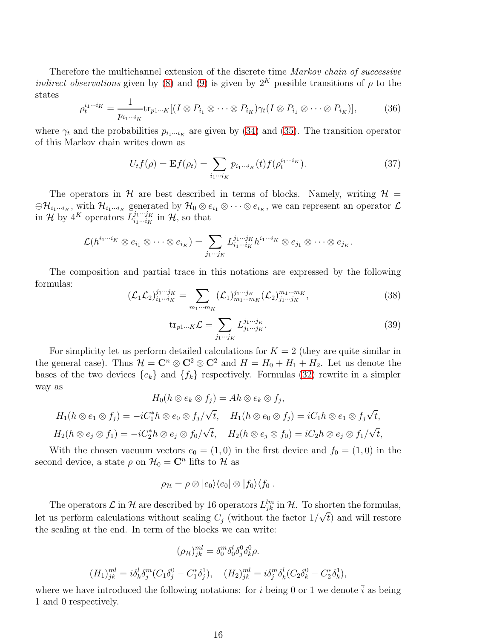Therefore the multichannel extension of the discrete time Markov chain of successive indirect observations given by [\(8\)](#page-5-1) and [\(9\)](#page-5-3) is given by  $2^K$  possible transitions of  $\rho$  to the states

<span id="page-15-2"></span>
$$
\rho_t^{i_1\cdots i_K} = \frac{1}{p_{i_1\cdots i_K}} \text{tr}_{p1\cdots K}[(I \otimes P_{i_1} \otimes \cdots \otimes P_{i_K})\gamma_t (I \otimes P_{i_1} \otimes \cdots \otimes P_{i_K})],\tag{36}
$$

where  $\gamma_t$  and the probabilities  $p_{i_1\cdots i_K}$  are given by [\(34\)](#page-14-1) and [\(35\)](#page-14-2). The transition operator of this Markov chain writes down as

<span id="page-15-1"></span>
$$
U_t f(\rho) = \mathbf{E} f(\rho_t) = \sum_{i_1 \cdots i_K} p_{i_1 \cdots i_K}(t) f(\rho_t^{i_1 \cdots i_K}). \tag{37}
$$

The operators in H are best described in terms of blocks. Namely, writing  $\mathcal{H} =$  $\oplus \mathcal{H}_{i_1\cdots i_K}$ , with  $\mathcal{H}_{i_1\cdots i_K}$  generated by  $\mathcal{H}_0\otimes e_{i_1}\otimes \cdots \otimes e_{i_K}$ , we can represent an operator  $\mathcal{L}$ in H by  $4^K$  operators  $L_{i_1\cdots i_K}^{j_1\cdots j_K}$  $\frac{j_1\cdots j_K}{i_1\cdots i_K}$  in  $\mathcal{H}$ , so that

$$
\mathcal{L}(h^{i_1\cdots i_K}\otimes e_{i_1}\otimes \cdots \otimes e_{i_K})=\sum_{j_1\cdots j_K}L^{j_1\cdots j_K}_{i_1\cdots i_K}h^{i_1\cdots i_K}\otimes e_{j_1}\otimes \cdots \otimes e_{j_K}.
$$

The composition and partial trace in this notations are expressed by the following formulas:

<span id="page-15-0"></span>
$$
(\mathcal{L}_1 \mathcal{L}_2)^{j_1 \cdots j_K}_{i_1 \cdots i_K} = \sum_{m_1 \cdots m_K} (\mathcal{L}_1)^{j_1 \cdots j_K}_{m_1 \cdots m_K} (\mathcal{L}_2)^{m_1 \cdots m_K}_{j_1 \cdots j_K},
$$
(38)

$$
\text{tr}_{p1\cdots K} \mathcal{L} = \sum_{j_1\cdots j_K} L_{j_1\cdots j_K}^{j_1\cdots j_K}.
$$
 (39)

For simplicity let us perform detailed calculations for  $K = 2$  (they are quite similar in the general case). Thus  $\mathcal{H} = \mathbb{C}^n \otimes \mathbb{C}^2 \otimes \mathbb{C}^2$  and  $H = H_0 + H_1 + H_2$ . Let us denote the bases of the two devices  $\{e_k\}$  and  $\{f_k\}$  respectively. Formulas [\(32\)](#page-14-3) rewrite in a simpler way as

$$
H_0(h \otimes e_k \otimes f_j) = Ah \otimes e_k \otimes f_j,
$$
  
\n
$$
H_1(h \otimes e_1 \otimes f_j) = -iC_1^*h \otimes e_0 \otimes f_j/\sqrt{t}, \quad H_1(h \otimes e_0 \otimes f_j) = iC_1h \otimes e_1 \otimes f_j\sqrt{t},
$$
  
\n
$$
H_2(h \otimes e_j \otimes f_1) = -iC_2^*h \otimes e_j \otimes f_0/\sqrt{t}, \quad H_2(h \otimes e_j \otimes f_0) = iC_2h \otimes e_j \otimes f_1/\sqrt{t},
$$

With the chosen vacuum vectors  $e_0 = (1, 0)$  in the first device and  $f_0 = (1, 0)$  in the second device, a state  $\rho$  on  $\mathcal{H}_0 = \mathbb{C}^n$  lifts to  $\mathcal{H}$  as

$$
\rho_{\mathcal{H}} = \rho \otimes |e_0\rangle\langle e_0| \otimes |f_0\rangle\langle f_0|.
$$

The operators  $\mathcal{L}$  in  $\mathcal{H}$  are described by 16 operators  $L_{jk}^{lm}$  in  $\mathcal{H}$ . To shorten the formulas, let us perform calculations without scaling  $C_j$  (without the factor  $1/\sqrt{t}$ ) and will restore the scaling at the end. In term of the blocks we can write:

$$
(\rho_{\mathcal{H}})^{ml}_{jk} = \delta^m_0 \delta^l_0 \delta^0_j \delta^0_k \rho.
$$

$$
(H_1)_{jk}^{ml} = i\delta_k^l \delta_j^m (C_1 \delta_j^0 - C_1^* \delta_j^1), \quad (H_2)_{jk}^{ml} = i\delta_j^m \delta_k^l (C_2 \delta_k^0 - C_2^* \delta_k^1),
$$

where we have introduced the following notations: for i being 0 or 1 we denote  $\overline{i}$  as being 1 and 0 respectively.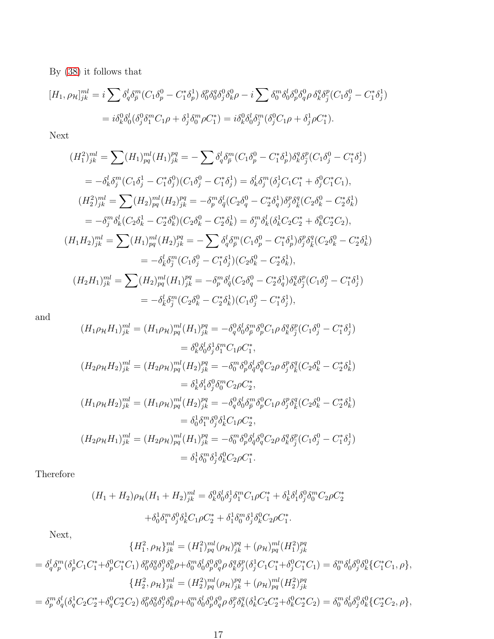By [\(38\)](#page-15-0) it follows that

$$
[H_1, \rho_{\mathcal{H}}]_{jk}^{ml} = i \sum \delta_q^l \delta_{\bar{p}}^m (C_1 \delta_p^0 - C_1^* \delta_p^1) \, \delta_0^p \delta_0^q \delta_j^0 \delta_k^0 \rho - i \sum \delta_0^m \delta_0^l \delta_0^0 \delta_p^0 \delta_q^0 \rho \, \delta_k^q \delta_{\bar{j}}^p (C_1 \delta_j^0 - C_1^* \delta_j^1)
$$
  
=  $i \delta_k^0 \delta_0^l (\delta_j^0 \delta_1^m C_1 \rho + \delta_j^1 \delta_0^m \rho C_1^*) = i \delta_k^0 \delta_0^l \delta_{\bar{j}}^m (\delta_j^0 C_1 \rho + \delta_j^1 \rho C_1^*).$ 

Next

$$
(H_1^2)_{jk}^{ml} = \sum (H_1)_{pq}^{ml} (H_1)_{jk}^{pq} = -\sum \delta_q^l \delta_p^m (C_1 \delta_p^0 - C_1^* \delta_p^1) \delta_k^q \delta_j^p (C_1 \delta_j^0 - C_1^* \delta_j^1)
$$
  
\n
$$
= -\delta_k^l \delta_j^m (C_1 \delta_j^1 - C_1^* \delta_j^0) (C_1 \delta_j^0 - C_1^* \delta_j^1) = \delta_k^l \delta_j^m (\delta_j^1 C_1 C_1^* + \delta_j^0 C_1^* C_1),
$$
  
\n
$$
(H_2^2)_{jk}^{ml} = \sum (H_2)_{pq}^{ml} (H_2)_{jk}^{pq} = -\delta_p^m \delta_q^l (C_2 \delta_q^0 - C_2^* \delta_q^1) \delta_j^p \delta_k^q (C_2 \delta_k^0 - C_2^* \delta_k^1)
$$
  
\n
$$
= -\delta_j^m \delta_k^l (C_2 \delta_k^1 - C_2^* \delta_k^0) (C_2 \delta_k^0 - C_2^* \delta_k^1) = \delta_j^m \delta_k^l (\delta_k^1 C_2 C_2^* + \delta_k^0 C_2^* C_2),
$$
  
\n
$$
(H_1 H_2)_{jk}^{ml} = \sum (H_1)_{pq}^{ml} (H_2)_{jk}^{pq} = -\sum \delta_q^l \delta_j^m (C_1 \delta_p^0 - C_1^* \delta_p^1) \delta_j^p \delta_k^q (C_2 \delta_k^0 - C_2^* \delta_k^1)
$$
  
\n
$$
= -\delta_k^l \delta_j^m (C_1 \delta_j^0 - C_1^* \delta_j^1) (C_2 \delta_k^0 - C_2^* \delta_k^1),
$$
  
\n
$$
(H_2 H_1)_{jk}^{ml} = \sum (H_2)_{pq}^{ml} (H_1)_{jk}^{pq} = -\delta_p^m \delta_q^l (C_2 \delta_q^0 - C_2^* \delta_q^1) \delta_k^q \delta_j^p (C_1 \delta_j^0 - C_1^* \delta_j^1)
$$
  
\n
$$
= -\delta_k^l \delta_j^m (C_2 \delta_k^0 - C_2^* \delta
$$

and

$$
(H_1 \rho_{\mathcal{H}} H_1)_{jk}^{ml} = (H_1 \rho_{\mathcal{H}})_{pq}^{ml} (H_1)_{jk}^{pq} = -\delta_q^0 \delta_0^l \delta_p^m \delta_p^0 C_1 \rho \delta_k^q \delta_j^p (C_1 \delta_j^0 - C_1^* \delta_j^1)
$$
  
\n
$$
= \delta_k^0 \delta_0^l \delta_j^1 \delta_1^m C_1 \rho C_1^*,
$$
  
\n
$$
(H_2 \rho_{\mathcal{H}} H_2)_{jk}^{ml} = (H_2 \rho_{\mathcal{H}})_{pq}^{ml} (H_2)_{jk}^{pq} = -\delta_0^m \delta_p^0 \delta_q^l \delta_q^0 C_2 \rho \delta_j^p \delta_k^q (C_2 \delta_k^0 - C_2^* \delta_k^1)
$$
  
\n
$$
= \delta_k^1 \delta_1^l \delta_j^0 \delta_0^m C_2 \rho C_2^*,
$$
  
\n
$$
(H_1 \rho_{\mathcal{H}} H_2)_{jk}^{ml} = (H_1 \rho_{\mathcal{H}})_{pq}^{ml} (H_2)_{jk}^{pq} = -\delta_q^0 \delta_0^l \delta_p^m \delta_p^0 C_1 \rho \delta_j^p \delta_k^q (C_2 \delta_k^0 - C_2^* \delta_k^1)
$$
  
\n
$$
= \delta_0^1 \delta_1^m \delta_j^0 \delta_k^1 C_1 \rho C_2^*,
$$
  
\n
$$
(H_2 \rho_{\mathcal{H}} H_1)_{jk}^{ml} = (H_2 \rho_{\mathcal{H}})_{pq}^{ml} (H_1)_{jk}^{pq} = -\delta_0^m \delta_p^0 \delta_q^l \delta_q^0 C_2 \rho \delta_k^q \delta_j^p (C_1 \delta_j^0 - C_1^* \delta_j^1)
$$
  
\n
$$
= \delta_1^1 \delta_0^m \delta_j^1 \delta_k^0 C_2 \rho C_1^*.
$$

Therefore

$$
(H_1 + H_2)\rho_{\mathcal{H}}(H_1 + H_2)_{jk}^{ml} = \delta_k^0 \delta_0^l \delta_j^1 \delta_1^m C_1 \rho C_1^* + \delta_k^1 \delta_1^l \delta_2^0 \delta_0^m C_2 \rho C_2^*
$$

$$
+ \delta_0^1 \delta_1^m \delta_j^0 \delta_k^1 C_1 \rho C_2^* + \delta_1^1 \delta_0^m \delta_j^1 \delta_k^0 C_2 \rho C_1^*.
$$

Next,

$$
\{H_1^2, \rho_H\}_{jk}^{ml} = (H_1^2)_{pq}^{ml} (\rho_H)_{jk}^{pq} + (\rho_H)_{pq}^{ml} (H_1^2)_{jk}^{pq}
$$
  
\n
$$
= \delta_q^l \delta_p^m (\delta_p^1 C_1 C_1^* + \delta_p^0 C_1^* C_1) \delta_0^p \delta_0^q \delta_0^0 \delta_k^0 \rho + \delta_0^m \delta_0^l \delta_p^0 \delta_q^0 \rho \delta_k^q \delta_j^p (\delta_j^1 C_1 C_1^* + \delta_j^0 C_1^* C_1) = \delta_0^m \delta_0^l \delta_0^0 \delta_j^0 \delta_k^0 \{C_1^* C_1, \rho\},
$$
  
\n
$$
\{H_2^2, \rho_H\}_{jk}^{ml} = (H_2^2)_{pq}^{ml} (\rho_H)_{jk}^{pq} + (\rho_H)_{pq}^{ml} (H_2^2)_{jk}^{pq}
$$
  
\n
$$
= \delta_p^m \delta_q^l (\delta_q^1 C_2 C_2^* + \delta_q^0 C_2^* C_2) \delta_0^p \delta_0^q \delta_0^0 \delta_j^0 \rho + \delta_0^m \delta_0^l \delta_p^0 \delta_q^0 \rho \delta_j^p \delta_k^q (\delta_k^1 C_2 C_2^* + \delta_k^0 C_2^* C_2) = \delta_0^m \delta_0^l \delta_0^0 \delta_j^0 \delta_k^0 \{C_2^* C_2, \rho\},
$$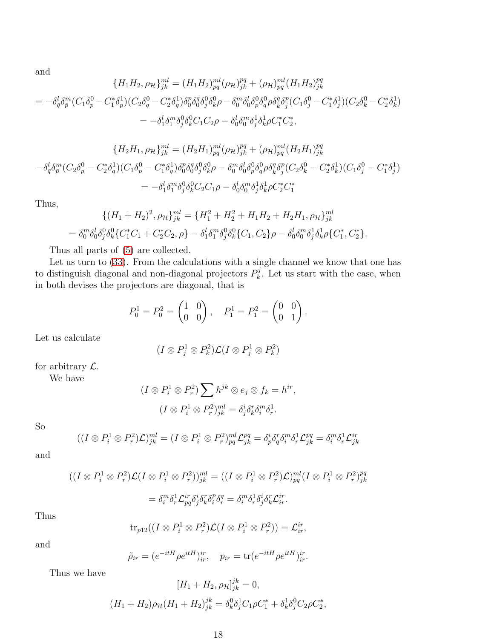and

$$
\{H_1 H_2, \rho_{\mathcal{H}}\}_{jk}^{ml} = (H_1 H_2)_{pq}^{ml} (\rho_{\mathcal{H}})_{jk}^{ml} + (\rho_{\mathcal{H}})_{pq}^{ml} (H_1 H_2)_{jk}^{pq}
$$

$$
= -\delta_q^l \delta_p^m (C_1 \delta_p^0 - C_1^* \delta_p^1)(C_2 \delta_q^0 - C_2^* \delta_q^1) \delta_0^p \delta_0^q \delta_0^0 \delta_p^0 \rho - \delta_0^m \delta_0^l \delta_p^0 \delta_q^0 \rho \delta_{\bar{q}}^{\bar{p}} \delta_{\bar{q}}^{\bar{p}} (C_1 \delta_j^0 - C_1^* \delta_j^1)(C_2 \delta_k^0 - C_2^* \delta_k^1)
$$

$$
= -\delta_1^l \delta_1^m \delta_j^0 \delta_k^0 C_1 C_2 \rho - \delta_0^l \delta_0^m \delta_j^1 \delta_k^1 \rho C_1^* C_2^*,
$$

$$
\{H_2H_1, \rho_{\mathcal{H}}\}_{jk}^{ml} = (H_2H_1)_{pq}^{ml}(\rho_{\mathcal{H}})_{jk}^{ml} + (\rho_{\mathcal{H}})_{pq}^{ml}(H_2H_1)_{jk}^{pq}
$$

$$
-\delta_{\bar{q}}^l \delta_{\bar{p}}^m (C_2 \delta_p^0 - C_2^* \delta_q^1)(C_1 \delta_p^0 - C_1^* \delta_q^1) \delta_0^p \delta_0^q \delta_j^0 \delta_k^0 \rho - \delta_0^m \delta_0^l \delta_p^0 \delta_q^0 \rho \delta_{\bar{q}}^q \delta_{\bar{q}}^p (C_2 \delta_k^0 - C_2^* \delta_k^1)(C_1 \delta_j^0 - C_1^* \delta_j^1)
$$

$$
= -\delta_1^l \delta_1^m \delta_j^0 \delta_k^0 C_2 C_1 \rho - \delta_0^l \delta_0^m \delta_j^1 \delta_k^1 \rho C_2^* C_1^*
$$

Thus,

$$
\{(H_1 + H_2)^2, \rho_H\}_{jk}^{ml} = \{H_1^2 + H_2^2 + H_1H_2 + H_2H_1, \rho_H\}_{jk}^{ml}
$$
  
=  $\delta_0^m \delta_0^l \delta_0^0 \delta_k^0 \{C_1^* C_1 + C_2^* C_2, \rho\} - \delta_1^l \delta_1^m \delta_2^0 \delta_k^0 \{C_1, C_2\} \rho - \delta_0^l \delta_0^m \delta_j^1 \delta_k^1 \rho \{C_1^*, C_2^*\}.$ 

Thus all parts of [\(5\)](#page-3-2) are collected.

Let us turn to  $(33)$ . From the calculations with a single channel we know that one has to distinguish diagonal and non-diagonal projectors  $P_k^j$  $\mathbf{k}^j$ . Let us start with the case, when in both devises the projectors are diagonal, that is

$$
P_0^1 = P_0^2 = \begin{pmatrix} 1 & 0 \\ 0 & 0 \end{pmatrix}, \quad P_1^1 = P_1^2 = \begin{pmatrix} 0 & 0 \\ 0 & 1 \end{pmatrix}.
$$

Let us calculate

$$
(I \otimes P_j^1 \otimes P_k^2)\mathcal{L}(I \otimes P_j^1 \otimes P_k^2)
$$

for arbitrary  $\mathcal{L}$ .

We have

$$
(I \otimes P_i^1 \otimes P_r^2) \sum h^{jk} \otimes e_j \otimes f_k = h^{ir},
$$
  

$$
(I \otimes P_i^1 \otimes P_r^2)_{jk}^{ml} = \delta_j^i \delta_k^r \delta_i^m \delta_r^1.
$$

So

$$
((I \otimes P_i^1 \otimes P_r^2)\mathcal{L})_{jk}^{ml} = (I \otimes P_i^1 \otimes P_r^2)_{pq}^{ml}\mathcal{L}_{jk}^{pq} = \delta_p^i \delta_q^r \delta_i^m \delta_r^1 \mathcal{L}_{jk}^{pq} = \delta_i^m \delta_r^1 \mathcal{L}_{jk}^{ir}
$$

and

$$
((I \otimes P_i^1 \otimes P_r^2)\mathcal{L}(I \otimes P_i^1 \otimes P_r^2))_{jk}^{ml} = ((I \otimes P_i^1 \otimes P_r^2)\mathcal{L})_{pq}^{ml}(I \otimes P_i^1 \otimes P_r^2)_{jk}^{pq}
$$

$$
= \delta_i^m \delta_r^1 \mathcal{L}_{pq}^{ir} \delta_j^i \delta_k^r \delta_i^p \delta_r^q = \delta_i^m \delta_r^1 \delta_j^i \delta_k^r \mathcal{L}_{ir}^{ir}.
$$

Thus

$$
\mathrm{tr}_{p12}((I\otimes P_i^1\otimes P_r^2)\mathcal{L}(I\otimes P_i^1\otimes P_r^2))=\mathcal{L}_{ir}^{ir},
$$

and

$$
\tilde{\rho}_{ir} = (e^{-itH}\rho e^{itH})_{ir}^{ir}, \quad p_{ir} = \text{tr}(e^{-itH}\rho e^{itH})_{ir}^{ir}.
$$

Thus we have

$$
[H_1 + H_2, \rho_{\mathcal{H}}]_{jk}^{jk} = 0,
$$
  

$$
(H_1 + H_2)\rho_{\mathcal{H}}(H_1 + H_2)_{jk}^{jk} = \delta_k^0 \delta_j^1 C_1 \rho C_1^* + \delta_k^1 \delta_j^0 C_2 \rho C_2^*,
$$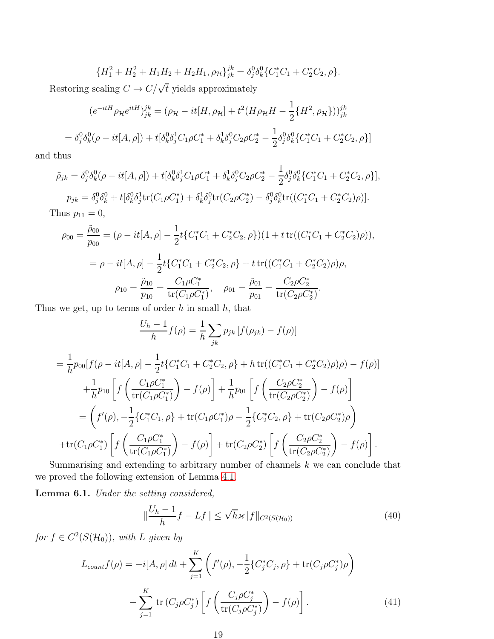$$
\{H_1^2 + H_2^2 + H_1H_2 + H_2H_1, \rho_{\mathcal{H}}\}_{jk}^{jk} = \delta_j^0 \delta_k^0 \{C_1^* C_1 + C_2^* C_2, \rho\}.
$$

Restoring scaling  $C \to C/\sqrt{t}$  yields approximately

$$
(e^{-itH}\rho_{\mathcal{H}}e^{itH})_{jk}^{jk} = (\rho_{\mathcal{H}} - it[H, \rho_{\mathcal{H}}] + t^2(H\rho_{\mathcal{H}}H - \frac{1}{2}\{H^2, \rho_{\mathcal{H}}\}))_{jk}^{jk}
$$
  
=  $\delta_j^0 \delta_k^0(\rho - it[A, \rho]) + t[\delta_k^0 \delta_j^1 C_1 \rho C_1^* + \delta_k^1 \delta_j^0 C_2 \rho C_2^* - \frac{1}{2}\delta_j^0 \delta_k^0 \{C_1^* C_1 + C_2^* C_2, \rho\}]$ 

and thus

$$
\tilde{\rho}_{jk} = \delta_j^0 \delta_k^0 (\rho - it[A, \rho]) + t[\delta_k^0 \delta_j^1 C_1 \rho C_1^* + \delta_k^1 \delta_j^0 C_2 \rho C_2^* - \frac{1}{2} \delta_j^0 \delta_k^0 \{ C_1^* C_1 + C_2^* C_2, \rho \}],
$$
  
\n
$$
p_{jk} = \delta_j^0 \delta_k^0 + t[\delta_k^0 \delta_j^1 \text{tr}(C_1 \rho C_1^*) + \delta_k^1 \delta_j^0 \text{tr}(C_2 \rho C_2^*) - \delta_j^0 \delta_k^0 \text{tr}((C_1^* C_1 + C_2^* C_2) \rho)].
$$
  
\nThus  $p_{11} = 0$ ,

$$
\rho_{00} = \frac{\tilde{\rho}_{00}}{p_{00}} = (\rho - it[A, \rho] - \frac{1}{2}t\{C_1^*C_1 + C_2^*C_2, \rho\})(1 + t \operatorname{tr}((C_1^*C_1 + C_2^*C_2)\rho)),
$$
  
\n
$$
= \rho - it[A, \rho] - \frac{1}{2}t\{C_1^*C_1 + C_2^*C_2, \rho\} + t \operatorname{tr}((C_1^*C_1 + C_2^*C_2)\rho)\rho,
$$
  
\n
$$
\rho_{10} = \frac{\tilde{\rho}_{10}}{p_{10}} = \frac{C_1\rho C_1^*}{\operatorname{tr}(C_1\rho C_1^*)}, \quad \rho_{01} = \frac{\tilde{\rho}_{01}}{p_{01}} = \frac{C_2\rho C_2^*}{\operatorname{tr}(C_2\rho C_2^*)}.
$$

Thus we get, up to terms of order  $h$  in small  $h$ , that

$$
\frac{U_h - 1}{h} f(\rho) = \frac{1}{h} \sum_{jk} p_{jk} \left[ f(\rho_{jk}) - f(\rho) \right]
$$
  
=  $\frac{1}{h} p_{00} [f(\rho - it[A, \rho] - \frac{1}{2} t \{C_1^* C_1 + C_2^* C_2, \rho \} + h \operatorname{tr}((C_1^* C_1 + C_2^* C_2) \rho) \rho) - f(\rho)]$   
+  $\frac{1}{h} p_{10} \left[ f\left(\frac{C_1 \rho C_1^*}{\operatorname{tr}(C_1 \rho C_1^*)}\right) - f(\rho) \right] + \frac{1}{h} p_{01} \left[ f\left(\frac{C_2 \rho C_2^*}{\operatorname{tr}(C_2 \rho C_2^*)}\right) - f(\rho) \right]$   
=  $\left( f'(\rho), -\frac{1}{2} \{C_1^* C_1, \rho\} + \operatorname{tr}(C_1 \rho C_1^*) \rho - \frac{1}{2} \{C_2^* C_2, \rho\} + \operatorname{tr}(C_2 \rho C_2^*) \rho \right)$   
+  $\operatorname{tr}(C_1 \rho C_1^*) \left[ f\left(\frac{C_1 \rho C_1^*}{\operatorname{tr}(C_1 \rho C_1^*)}\right) - f(\rho) \right] + \operatorname{tr}(C_2 \rho C_2^*) \left[ f\left(\frac{C_2 \rho C_2^*}{\operatorname{tr}(C_2 \rho C_2^*)}\right) - f(\rho) \right].$ 

Summarising and extending to arbitrary number of channels  $k$  we can conclude that we proved the following extension of Lemma [4.1.](#page-7-1)

Lemma 6.1. Under the setting considered,

$$
\|\frac{U_h - 1}{h}f - Lf\| \le \sqrt{h}\varkappa \|f\|_{C^2(S(\mathcal{H}_0))}
$$
\n(40)

for  $f \in C^2(S(\mathcal{H}_0))$ , with L given by

<span id="page-18-0"></span>
$$
L_{count}f(\rho) = -i[A, \rho] dt + \sum_{j=1}^{K} \left( f'(\rho), -\frac{1}{2} \{ C_j^* C_j, \rho \} + \text{tr}(C_j \rho C_j^*) \rho \right) + \sum_{j=1}^{K} \text{tr}(C_j \rho C_j^*) \left[ f \left( \frac{C_j \rho C_j^*}{\text{tr}(C_j \rho C_j^*)} \right) - f(\rho) \right].
$$
 (41)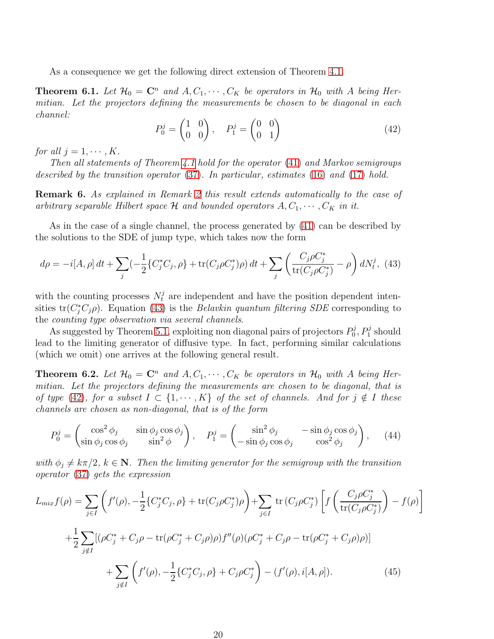As a consequence we get the following direct extension of Theorem [4.1.](#page-7-2)

**Theorem 6.1.** Let  $\mathcal{H}_0 = \mathbb{C}^n$  and  $A, C_1, \cdots, C_K$  be operators in  $\mathcal{H}_0$  with A being Hermitian. Let the projectors defining the measurements be chosen to be diagonal in each channel:

<span id="page-19-1"></span>
$$
P_0^j = \begin{pmatrix} 1 & 0 \\ 0 & 0 \end{pmatrix}, \quad P_1^j = \begin{pmatrix} 0 & 0 \\ 0 & 1 \end{pmatrix} \tag{42}
$$

for all  $j = 1, \cdots, K$ .

Then all statements of Theorem [4.1](#page-7-2) hold for the operator [\(41\)](#page-18-0) and Markov semigroups described by the transition operator [\(37\)](#page-15-1). In particular, estimates [\(16\)](#page-7-3) and [\(17\)](#page-7-4) hold.

Remark 6. As explained in Remark [2](#page-8-1) this result extends automatically to the case of arbitrary separable Hilbert space  $\mathcal H$  and bounded operators  $A, C_1, \cdots, C_K$  in it.

As in the case of a single channel, the process generated by [\(41\)](#page-18-0) can be described by the solutions to the SDE of jump type, which takes now the form

<span id="page-19-0"></span>
$$
d\rho = -i[A, \rho] dt + \sum_{j} \left(-\frac{1}{2} \{C_{j}^{*} C_{j}, \rho\} + \text{tr}(C_{j} \rho C_{j}^{*}) \rho\right) dt + \sum_{j} \left(\frac{C_{j} \rho C_{j}^{*}}{\text{tr}(C_{j} \rho C_{j}^{*})} - \rho\right) dN_{t}^{j}, \tag{43}
$$

with the counting processes  $N_t^j$  are independent and have the position dependent intensities  $tr(C_j^*C_j\rho)$ . Equation [\(43\)](#page-19-0) is the *Belavkin quantum filtering SDE* corresponding to the counting type observation via several channels.

As suggested by Theorem [5.1,](#page-12-0) exploiting non diagonal pairs of projectors  $P_0^j$  $p_0^j, P_1^j$  should lead to the limiting generator of diffusive type. In fact, performing similar calculations (which we omit) one arrives at the following general result.

<span id="page-19-3"></span>**Theorem 6.2.** Let  $\mathcal{H}_0 = \mathbb{C}^n$  and  $A, C_1, \cdots, C_K$  be operators in  $\mathcal{H}_0$  with A being Hermitian. Let the projectors defining the measurements are chosen to be diagonal, that is of type [\(42\)](#page-19-1), for a subset  $I \subset \{1, \dots, K\}$  of the set of channels. And for  $j \notin I$  these channels are chosen as non-diagonal, that is of the form

$$
P_0^j = \begin{pmatrix} \cos^2 \phi_j & \sin \phi_j \cos \phi_j \\ \sin \phi_j \cos \phi_j & \sin^2 \phi \end{pmatrix}, \quad P_1^j = \begin{pmatrix} \sin^2 \phi_j & -\sin \phi_j \cos \phi_j \\ -\sin \phi_j \cos \phi_j & \cos^2 \phi_j \end{pmatrix}, \quad (44)
$$

with  $\phi_j \neq k\pi/2$ ,  $k \in \mathbb{N}$ . Then the limiting generator for the semigroup with the transition operator [\(37\)](#page-15-1) gets the expression

<span id="page-19-2"></span>
$$
L_{mix}f(\rho) = \sum_{j\in I} \left( f'(\rho), -\frac{1}{2} \{ C_j^* C_j, \rho \} + \text{tr}(C_j \rho C_j^*) \rho \right) + \sum_{j\in I} \text{tr}(C_j \rho C_j^*) \left[ f \left( \frac{C_j \rho C_j^*}{\text{tr}(C_j \rho C_j^*)} \right) - f(\rho) \right]
$$
  
+ 
$$
\frac{1}{2} \sum_{j\notin I} [(\rho C_j^* + C_j \rho - \text{tr}(\rho C_j^* + C_j \rho) \rho) f''(\rho) (\rho C_j^* + C_j \rho - \text{tr}(\rho C_j^* + C_j \rho) \rho)]
$$
  
+ 
$$
\sum_{j\notin I} \left( f'(\rho), -\frac{1}{2} \{ C_j^* C_j, \rho \} + C_j \rho C_j^* \right) - (f'(\rho), i[A, \rho]). \tag{45}
$$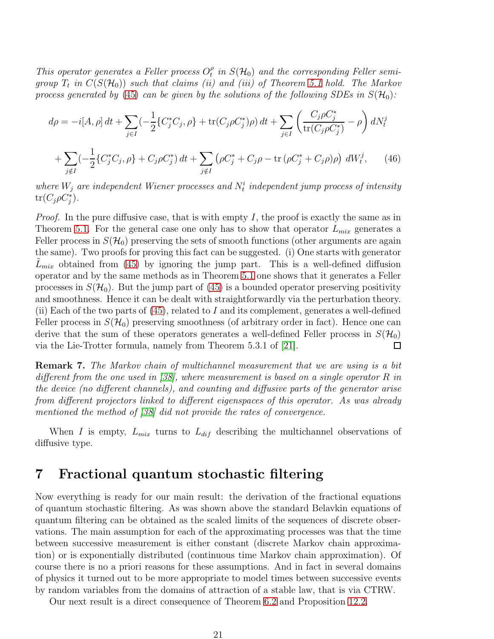This operator generates a Feller process  $O_t^{\rho}$  $t<sub>t</sub><sup>0</sup>$  in  $S(\mathcal{H}<sub>0</sub>)$  and the corresponding Feller semigroup  $T_t$  in  $C(S(\mathcal{H}_0))$  such that claims (ii) and (iii) of Theorem [5.1](#page-12-0) hold. The Markov process generated by [\(45\)](#page-19-2) can be given by the solutions of the following SDEs in  $S(\mathcal{H}_0)$ :

$$
d\rho = -i[A, \rho] dt + \sum_{j \in I} \left(-\frac{1}{2} \{C_j^* C_j, \rho\} + \text{tr}(C_j \rho C_j^*)\rho\right) dt + \sum_{j \in I} \left(\frac{C_j \rho C_j^*}{\text{tr}(C_j \rho C_j^*)} - \rho\right) dN_t^j
$$
  
+ 
$$
\sum_{j \notin I} \left(-\frac{1}{2} \{C_j^* C_j, \rho\} + C_j \rho C_j^*\right) dt + \sum_{j \notin I} \left(\rho C_j^* + C_j \rho - \text{tr}\left(\rho C_j^* + C_j \rho\right)\rho\right) dN_t^j, \qquad (46)
$$

<span id="page-20-1"></span>where  $W_j$  are independent Wiener processes and  $N_t^i$  independent jump process of intensity  $\mathrm{tr}(C_j\rho C_j^*)$ .

*Proof.* In the pure diffusive case, that is with empty I, the proof is exactly the same as in Theorem [5.1.](#page-12-0) For the general case one only has to show that operator  $L_{mix}$  generates a Feller process in  $S(\mathcal{H}_0)$  preserving the sets of smooth functions (other arguments are again the same). Two proofs for proving this fact can be suggested. (i) One starts with generator  $L_{mix}$  obtained from [\(45\)](#page-19-2) by ignoring the jump part. This is a well-defined diffusion operator and by the same methods as in Theorem [5.1](#page-12-0) one shows that it generates a Feller processes in  $S(\mathcal{H}_0)$ . But the jump part of [\(45\)](#page-19-2) is a bounded operator preserving positivity and smoothness. Hence it can be dealt with straightforwardly via the perturbation theory. (ii) Each of the two parts of  $(45)$ , related to I and its complement, generates a well-defined Feller process in  $S(\mathcal{H}_0)$  preserving smoothness (of arbitrary order in fact). Hence one can derive that the sum of these operators generates a well-defined Feller process in  $S(\mathcal{H}_0)$  via the Lie-Trotter formula, namely from Theorem 5.3.1 of [21]. via the Lie-Trotter formula, namely from Theorem 5.3.1 of [\[21\]](#page-30-3).

Remark 7. The Markov chain of multichannel measurement that we are using is a bit different from the one used in [\[38\]](#page-31-8), where measurement is based on a single operator R in the device (no different channels), and counting and diffusive parts of the generator arise from different projectors linked to different eigenspaces of this operator. As was already mentioned the method of [\[38\]](#page-31-8) did not provide the rates of convergence.

When I is empty,  $L_{mix}$  turns to  $L_{dif}$  describing the multichannel observations of diffusive type.

#### <span id="page-20-0"></span>7 Fractional quantum stochastic filtering

Now everything is ready for our main result: the derivation of the fractional equations of quantum stochastic filtering. As was shown above the standard Belavkin equations of quantum filtering can be obtained as the scaled limits of the sequences of discrete observations. The main assumption for each of the approximating processes was that the time between successive measurement is either constant (discrete Markov chain approximation) or is exponentially distributed (continuous time Markov chain approximation). Of course there is no a priori reasons for these assumptions. And in fact in several domains of physics it turned out to be more appropriate to model times between successive events by random variables from the domains of attraction of a stable law, that is via CTRW.

Our next result is a direct consequence of Theorem [6.2](#page-19-3) and Proposition [12.2.](#page-27-0)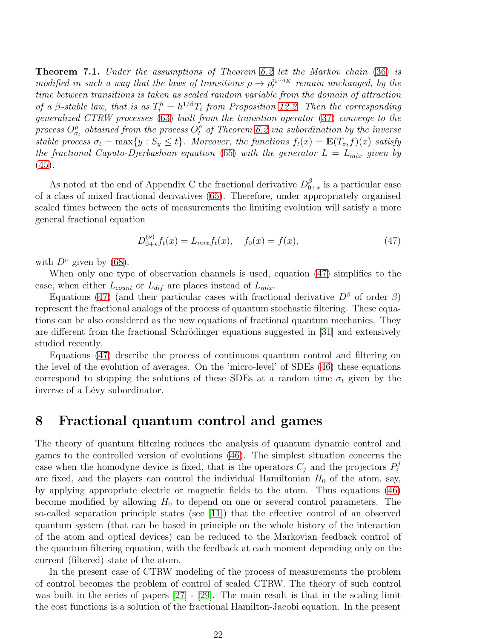<span id="page-21-2"></span>Theorem 7.1. Under the assumptions of Theorem [6.2](#page-19-3) let the Markov chain [\(36\)](#page-15-2) is modified in such a way that the laws of transitions  $\rho \to \rho_t^{i_1 \cdots i_K}$  remain unchanged, by the time between transitions is taken as scaled random variable from the domain of attraction of a  $\beta$ -stable law, that is as  $T_i^h = h^{1/\beta} T_i$  from Proposition [12.2.](#page-27-0) Then the corresponding generalized CTRW processes [\(63\)](#page-26-0) built from the transition operator [\(37\)](#page-15-1) converge to the process  $O_{\sigma_t}^{\rho}$  obtained from the process  $O_t^{\rho}$  of Theorem [6.2](#page-19-3) via subordination by the inverse stable process  $\sigma_t = \max\{y : S_y \le t\}$ . Moreover, the functions  $f_t(x) = \mathbf{E}(T_{\sigma_t}f)(x)$  satisfy the fractional Caputo-Djerbashian equation [\(65\)](#page-28-0) with the generator  $L = L_{mix}$  given by  $(45).$  $(45).$ 

As noted at the end of Appendix C the fractional derivative  $D_0^{\beta}$  $_{0+\star}^{\beta}$  is a particular case of a class of mixed fractional derivatives [\(65\)](#page-28-0). Therefore, under appropriately organised scaled times between the acts of measurements the limiting evolution will satisfy a more general fractional equation

<span id="page-21-1"></span>
$$
D_{0+\star}^{(\nu)} f_t(x) = L_{mix} f_t(x), \quad f_0(x) = f(x), \tag{47}
$$

with  $D^{\nu}$  given by [\(68\)](#page-28-1).

When only one type of observation channels is used, equation [\(47\)](#page-21-1) simplifies to the case, when either  $L_{count}$  or  $L_{dif}$  are places instead of  $L_{mix}$ .

Equations [\(47\)](#page-21-1) (and their particular cases with fractional derivative  $D^{\beta}$  of order  $\beta$ ) represent the fractional analogs of the process of quantum stochastic filtering. These equations can be also considered as the new equations of fractional quantum mechanics. They are different from the fractional Schrödinger equations suggested in [\[31\]](#page-31-1) and extensively studied recently.

Equations [\(47\)](#page-21-1) describe the process of continuous quantum control and filtering on the level of the evolution of averages. On the 'micro-level' of SDEs [\(46\)](#page-20-1) these equations correspond to stopping the solutions of these SDEs at a random time  $\sigma_t$  given by the inverse of a Lévy subordinator.

#### <span id="page-21-0"></span>8 Fractional quantum control and games

The theory of quantum filtering reduces the analysis of quantum dynamic control and games to the controlled version of evolutions [\(46\)](#page-20-1). The simplest situation concerns the case when the homodyne device is fixed, that is the operators  $C_j$  and the projectors  $P_i^j$ i are fixed, and the players can control the individual Hamiltonian  $H_0$  of the atom, say, by applying appropriate electric or magnetic fields to the atom. Thus equations [\(46\)](#page-20-1) become modified by allowing  $H_0$  to depend on one or several control parameters. The so-called separation principle states (see [\[11\]](#page-29-11)) that the effective control of an observed quantum system (that can be based in principle on the whole history of the interaction of the atom and optical devices) can be reduced to the Markovian feedback control of the quantum filtering equation, with the feedback at each moment depending only on the current (filtered) state of the atom.

In the present case of CTRW modeling of the process of measurements the problem of control becomes the problem of control of scaled CTRW. The theory of such control was built in the series of papers [\[27\]](#page-30-4) - [\[29\]](#page-30-5). The main result is that in the scaling limit the cost functions is a solution of the fractional Hamilton-Jacobi equation. In the present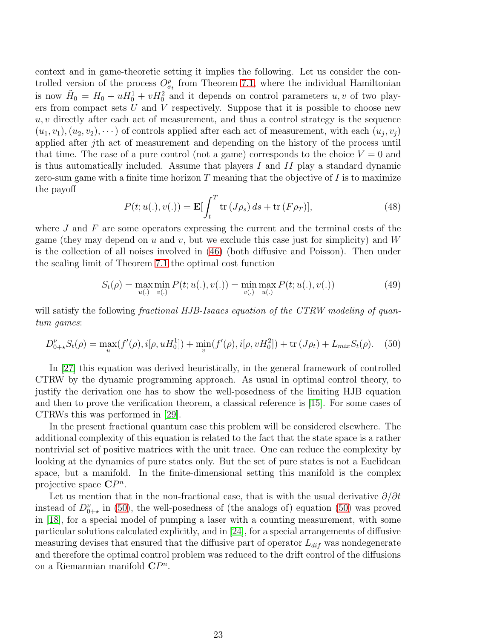context and in game-theoretic setting it implies the following. Let us consider the controlled version of the process  $O_{\sigma_t}^{\rho}$  from Theorem [7.1,](#page-21-2) where the individual Hamiltonian is now  $H_0 = H_0 + uH_0^1 + vH_0^2$  and it depends on control parameters  $u, v$  of two players from compact sets  $U$  and  $V$  respectively. Suppose that it is possible to choose new  $u, v$  directly after each act of measurement, and thus a control strategy is the sequence  $(u_1, v_1), (u_2, v_2), \dots$ ) of controls applied after each act of measurement, with each  $(u_j, v_j)$ applied after jth act of measurement and depending on the history of the process until that time. The case of a pure control (not a game) corresponds to the choice  $V = 0$  and is thus automatically included. Assume that players  $I$  and  $II$  play a standard dynamic zero-sum game with a finite time horizon  $T$  meaning that the objective of  $I$  is to maximize the payoff

$$
P(t; u(.), v(.)) = \mathbf{E} \left[ \int_{t}^{T} \operatorname{tr} \left( J \rho_{s} \right) ds + \operatorname{tr} \left( F \rho_{T} \right) \right], \tag{48}
$$

where  $J$  and  $F$  are some operators expressing the current and the terminal costs of the game (they may depend on u and v, but we exclude this case just for simplicity) and  $W$ is the collection of all noises involved in [\(46\)](#page-20-1) (both diffusive and Poisson). Then under the scaling limit of Theorem [7.1](#page-21-2) the optimal cost function

$$
S_t(\rho) = \max_{u(.)} \min_{v(.)} P(t; u(.), v(.)) = \min_{v(.)} \max_{u(.)} P(t; u(.), v(.))
$$
(49)

will satisfy the following *fractional HJB-Isaacs equation of the CTRW modeling of quan*tum games:

<span id="page-22-0"></span>
$$
D_{0+\star}^{\nu} S_t(\rho) = \max_u(f'(\rho), i[\rho, u H_0^1]) + \min_v(f'(\rho), i[\rho, v H_0^2]) + \text{tr}(J\rho_t) + L_{mix}S_t(\rho). \tag{50}
$$

In [\[27\]](#page-30-4) this equation was derived heuristically, in the general framework of controlled CTRW by the dynamic programming approach. As usual in optimal control theory, to justify the derivation one has to show the well-posedness of the limiting HJB equation and then to prove the verification theorem, a classical reference is [\[15\]](#page-30-6). For some cases of CTRWs this was performed in [\[29\]](#page-30-5).

In the present fractional quantum case this problem will be considered elsewhere. The additional complexity of this equation is related to the fact that the state space is a rather nontrivial set of positive matrices with the unit trace. One can reduce the complexity by looking at the dynamics of pure states only. But the set of pure states is not a Euclidean space, but a manifold. In the finite-dimensional setting this manifold is the complex projective space  $\mathbb{C}P^n$ .

Let us mention that in the non-fractional case, that is with the usual derivative  $\partial/\partial t$ instead of  $D_{0+\star}^{\nu}$  in [\(50\)](#page-22-0), the well-posedness of (the analogs of) equation (50) was proved in [\[18\]](#page-30-7), for a special model of pumping a laser with a counting measurement, with some particular solutions calculated explicitly, and in [\[24\]](#page-30-8), for a special arrangements of diffusive measuring devises that ensured that the diffusive part of operator  $L_{dif}$  was nondegenerate and therefore the optimal control problem was reduced to the drift control of the diffusions on a Riemannian manifold  $\mathbb{C}P^n$ .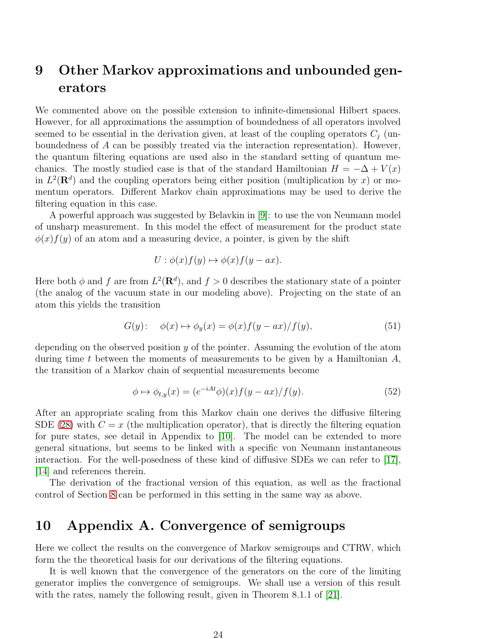### <span id="page-23-0"></span>9 Other Markov approximations and unbounded generators

We commented above on the possible extension to infinite-dimensional Hilbert spaces. However, for all approximations the assumption of boundedness of all operators involved seemed to be essential in the derivation given, at least of the coupling operators  $C_i$  (unboundedness of A can be possibly treated via the interaction representation). However, the quantum filtering equations are used also in the standard setting of quantum mechanics. The mostly studied case is that of the standard Hamiltonian  $H = -\Delta + V(x)$ in  $L^2(\mathbf{R}^d)$  and the coupling operators being either position (multiplication by x) or momentum operators. Different Markov chain approximations may be used to derive the filtering equation in this case.

A powerful approach was suggested by Belavkin in [\[9\]](#page-29-4): to use the von Neumann model of unsharp measurement. In this model the effect of measurement for the product state  $\phi(x) f(y)$  of an atom and a measuring device, a pointer, is given by the shift

$$
U: \phi(x)f(y) \mapsto \phi(x)f(y - ax).
$$

Here both  $\phi$  and f are from  $L^2(\mathbf{R}^d)$ , and  $f > 0$  describes the stationary state of a pointer (the analog of the vacuum state in our modeling above). Projecting on the state of an atom this yields the transition

$$
G(y): \quad \phi(x) \mapsto \phi_y(x) = \phi(x)f(y - ax)/f(y), \tag{51}
$$

depending on the observed position  $y$  of the pointer. Assuming the evolution of the atom during time t between the moments of measurements to be given by a Hamiltonian  $A$ , the transition of a Markov chain of sequential measurements become

$$
\phi \mapsto \phi_{t,y}(x) = (e^{-iAt}\phi)(x)f(y - ax)/f(y). \tag{52}
$$

After an appropriate scaling from this Markov chain one derives the diffusive filtering SDE [\(28\)](#page-13-3) with  $C = x$  (the multiplication operator), that is directly the filtering equation for pure states, see detail in Appendix to [\[10\]](#page-29-5). The model can be extended to more general situations, but seems to be linked with a specific von Neumann instantaneous interaction. For the well-posedness of these kind of diffusive SDEs we can refer to [\[17\]](#page-30-9), [\[14\]](#page-29-12) and references therein.

The derivation of the fractional version of this equation, as well as the fractional control of Section [8](#page-21-0) can be performed in this setting in the same way as above.

### 10 Appendix A. Convergence of semigroups

Here we collect the results on the convergence of Markov semigroups and CTRW, which form the the theoretical basis for our derivations of the filtering equations.

It is well known that the convergence of the generators on the core of the limiting generator implies the convergence of semigroups. We shall use a version of this result with the rates, namely the following result, given in Theorem 8.1.1 of [\[21\]](#page-30-3).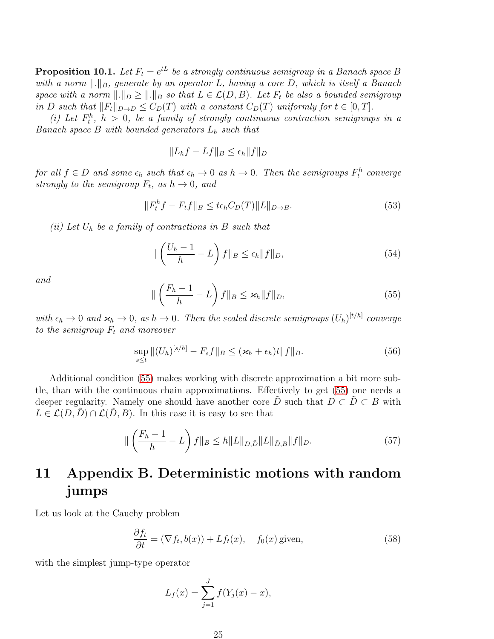<span id="page-24-0"></span>**Proposition 10.1.** Let  $F_t = e^{tL}$  be a strongly continuous semigroup in a Banach space B with a norm  $\Vert .\Vert_B$ , generate by an operator L, having a core D, which is itself a Banach space with a norm  $\|.\|_D \geq \|.\|_B$  so that  $L \in \mathcal{L}(D, B)$ . Let  $F_t$  be also a bounded semigroup in D such that  $||F_t||_{D\to D} \leq C_D(T)$  with a constant  $C_D(T)$  uniformly for  $t \in [0, T]$ .

(i) Let  $F_t^h$ ,  $h > 0$ , be a family of strongly continuous contraction semigroups in a Banach space B with bounded generators  $L_h$  such that

$$
||L_hf - Lf||_B \le \epsilon_h ||f||_D
$$

for all  $f \in D$  and some  $\epsilon_h$  such that  $\epsilon_h \to 0$  as  $h \to 0$ . Then the semigroups  $F_t^h$  converge strongly to the semigroup  $F_t$ , as  $h \to 0$ , and

$$
||F_t^h f - F_t f||_B \le t\epsilon_h C_D(T) ||L||_{D\to B}.
$$
\n
$$
(53)
$$

(ii) Let  $U_h$  be a family of contractions in B such that

<span id="page-24-4"></span>
$$
\|\left(\frac{U_h - 1}{h} - L\right)f\|_B \le \epsilon_h \|f\|_D,\tag{54}
$$

and

<span id="page-24-2"></span>
$$
\|\left(\frac{F_h-1}{h}-L\right)f\|_B\leq \varkappa_h \|f\|_D,\tag{55}
$$

with  $\epsilon_h \to 0$  and  $\varkappa_h \to 0$ , as  $h \to 0$ . Then the scaled discrete semigroups  $(U_h)^{[t/h]}$  converge to the semigroup  $F_t$  and moreover

<span id="page-24-5"></span>
$$
\sup_{s \le t} \|(U_h)^{[s/h]} - F_s f\|_B \le (\varkappa_h + \epsilon_h) t \|f\|_B. \tag{56}
$$

Additional condition [\(55\)](#page-24-2) makes working with discrete approximation a bit more subtle, than with the continuous chain approximations. Effectively to get [\(55\)](#page-24-2) one needs a deeper regularity. Namely one should have another core  $\hat{D}$  such that  $D \subset \hat{D} \subset B$  with  $L \in \mathcal{L}(D, D) \cap \mathcal{L}(D, B)$ . In this case it is easy to see that

<span id="page-24-1"></span>
$$
\| \left( \frac{F_h - 1}{h} - L \right) f \|_B \le h \| L \|_{D, \tilde{D}} \| L \|_{\tilde{D}, B} \| f \|_D. \tag{57}
$$

## 11 Appendix B. Deterministic motions with random jumps

Let us look at the Cauchy problem

<span id="page-24-3"></span>
$$
\frac{\partial f_t}{\partial t} = (\nabla f_t, b(x)) + L f_t(x), \quad f_0(x) \text{ given}, \tag{58}
$$

with the simplest jump-type operator

$$
L_f(x) = \sum_{j=1}^{J} f(Y_j(x) - x),
$$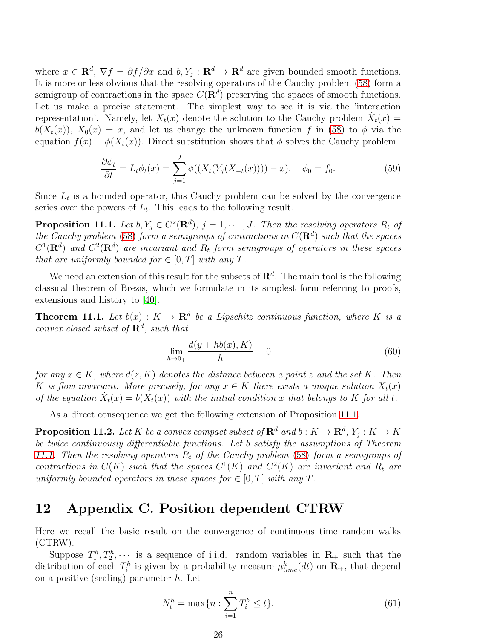where  $x \in \mathbb{R}^d$ ,  $\nabla f = \partial f / \partial x$  and  $b, Y_j : \mathbb{R}^d \to \mathbb{R}^d$  are given bounded smooth functions. It is more or less obvious that the resolving operators of the Cauchy problem [\(58\)](#page-24-3) form a semigroup of contractions in the space  $C(\mathbf{R}^d)$  preserving the spaces of smooth functions. Let us make a precise statement. The simplest way to see it is via the 'interaction representation'. Namely, let  $X_t(x)$  denote the solution to the Cauchy problem  $\dot{X}_t(x)$  =  $b(X_t(x))$ ,  $X_0(x) = x$ , and let us change the unknown function f in [\(58\)](#page-24-3) to  $\phi$  via the equation  $f(x) = \phi(X_t(x))$ . Direct substitution shows that  $\phi$  solves the Cauchy problem

$$
\frac{\partial \phi_t}{\partial t} = L_t \phi_t(x) = \sum_{j=1}^J \phi((X_t(Y_j(X_{-t}(x)))) - x), \quad \phi_0 = f_0.
$$
 (59)

Since  $L_t$  is a bounded operator, this Cauchy problem can be solved by the convergence series over the powers of  $L_t$ . This leads to the following result.

<span id="page-25-3"></span>**Proposition 11.1.** Let  $b, Y_j \in C^2(\mathbf{R}^d)$ ,  $j = 1, \dots, J$ . Then the resolving operators  $R_t$  of the Cauchy problem [\(58\)](#page-24-3) form a semigroups of contractions in  $C(\mathbf{R}^d)$  such that the spaces  $C^1(\mathbf{R}^d)$  and  $C^2(\mathbf{R}^d)$  are invariant and  $R_t$  form semigroups of operators in these spaces that are uniformly bounded for  $\in [0, T]$  with any T.

We need an extension of this result for the subsets of  $\mathbb{R}^d$ . The main tool is the following classical theorem of Brezis, which we formulate in its simplest form referring to proofs, extensions and history to [\[40\]](#page-31-10).

<span id="page-25-2"></span>**Theorem 11.1.** Let  $b(x)$ :  $K \to \mathbf{R}^d$  be a Lipschitz continuous function, where K is a convex closed subset of  $\mathbf{R}^d$ , such that

<span id="page-25-1"></span>
$$
\lim_{h \to 0_+} \frac{d(y + hb(x), K)}{h} = 0
$$
\n(60)

for any  $x \in K$ , where  $d(z, K)$  denotes the distance between a point z and the set K. Then K is flow invariant. More precisely, for any  $x \in K$  there exists a unique solution  $X_t(x)$ of the equation  $\dot{X}_t(x) = b(X_t(x))$  with the initial condition x that belongs to K for all t.

As a direct consequence we get the following extension of Proposition [11.1.](#page-25-3)

<span id="page-25-0"></span>**Proposition 11.2.** Let K be a convex compact subset of  $\mathbb{R}^d$  and  $b: K \to \mathbb{R}^d$ ,  $Y_j: K \to K$ be twice continuously differentiable functions. Let b satisfy the assumptions of Theorem [11.1.](#page-25-2) Then the resolving operators  $R_t$  of the Cauchy problem [\(58\)](#page-24-3) form a semigroups of contractions in  $C(K)$  such that the spaces  $C^1(K)$  and  $C^2(K)$  are invariant and  $R_t$  are uniformly bounded operators in these spaces for  $\in [0, T]$  with any T.

#### 12 Appendix C. Position dependent CTRW

Here we recall the basic result on the convergence of continuous time random walks (CTRW).

Suppose  $T_1^h, T_2^h, \dots$  is a sequence of i.i.d. random variables in  $\mathbf{R}_+$  such that the distribution of each  $T_i^h$  is given by a probability measure  $\mu_{time}^h(dt)$  on  $\mathbf{R}_+$ , that depend on a positive (scaling) parameter  $h$ . Let

$$
N_t^h = \max\{n : \sum_{i=1}^n T_i^h \le t\}.
$$
\n(61)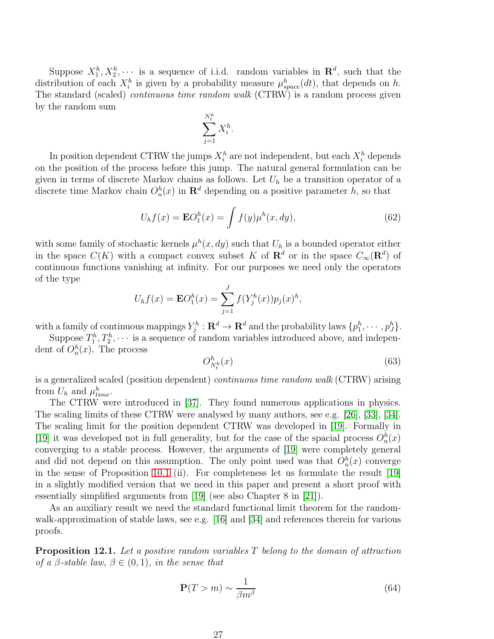Suppose  $X_1^h, X_2^h, \dots$  is a sequence of i.i.d. random variables in  $\mathbb{R}^d$ , such that the distribution of each  $X_i^h$  is given by a probability measure  $\mu_{space}^h(dt)$ , that depends on h. The standard (scaled) *continuous time random walk* (CTRW) is a random process given by the random sum

$$
\sum_{j=1}^{N_t^h} X_i^h.
$$

In position dependent CTRW the jumps  $X_i^h$  are not independent, but each  $X_i^h$  depends on the position of the process before this jump. The natural general formulation can be given in terms of discrete Markov chains as follows. Let  $U<sub>h</sub>$  be a transition operator of a discrete time Markov chain  $O_n^h(x)$  in  $\mathbf{R}^d$  depending on a positive parameter h, so that

<span id="page-26-1"></span>
$$
U_h f(x) = \mathbf{E} O_1^h(x) = \int f(y) \mu^h(x, dy), \qquad (62)
$$

with some family of stochastic kernels  $\mu^h(x, dy)$  such that  $U_h$  is a bounded operator either in the space  $C(K)$  with a compact convex subset K of  $\mathbf{R}^d$  or in the space  $C_{\infty}(\mathbf{R}^d)$  of continuous functions vanishing at infinity. For our purposes we need only the operators of the type

$$
U_h f(x) = \mathbf{E} O_1^h(x) = \sum_{j=1}^J f(Y_j^h(x)) p_j(x)^h,
$$

with a family of continuous mappings  $Y_j^h : \mathbf{R}^d \to \mathbf{R}^d$  and the probability laws  $\{p_1^h, \cdots, p_J^h\}.$ 

Suppose  $T_1^h, T_2^h, \cdots$  is a sequence of random variables introduced above, and independent of  $O_n^h(x)$ . The process

<span id="page-26-0"></span>
$$
O_{N_t^h}^h(x) \tag{63}
$$

is a generalized scaled (position dependent) continuous time random walk (CTRW) arising from  $U_h$  and  $\mu_{time}^h$ .

The CTRW were introduced in [\[37\]](#page-31-11). They found numerous applications in physics. The scaling limits of these CTRW were analysed by many authors, see e.g. [\[26\]](#page-30-10), [\[33\]](#page-31-12), [\[34\]](#page-31-13). The scaling limit for the position dependent CTRW was developed in [\[19\]](#page-30-11). Formally in [\[19\]](#page-30-11) it was developed not in full generality, but for the case of the spacial process  $O_n^h(x)$ converging to a stable process. However, the arguments of [\[19\]](#page-30-11) were completely general and did not depend on this assumption. The only point used was that  $O_n^h(x)$  converge in the sense of Proposition [10.1](#page-24-0) (ii). For completeness let us formulate the result [\[19\]](#page-30-11) in a slightly modified version that we need in this paper and present a short proof with essentially simplified arguments from [\[19\]](#page-30-11) (see also Chapter 8 in [\[21\]](#page-30-3)).

As an auxiliary result we need the standard functional limit theorem for the random-walk-approximation of stable laws, see e.g. [\[16\]](#page-30-12) and [\[34\]](#page-31-13) and references therein for various proofs.

<span id="page-26-2"></span>**Proposition 12.1.** Let a positive random variables  $T$  belong to the domain of attraction of a  $\beta$ -stable law,  $\beta \in (0,1)$ , in the sense that

$$
\mathbf{P}(T>m) \sim \frac{1}{\beta m^{\beta}}\tag{64}
$$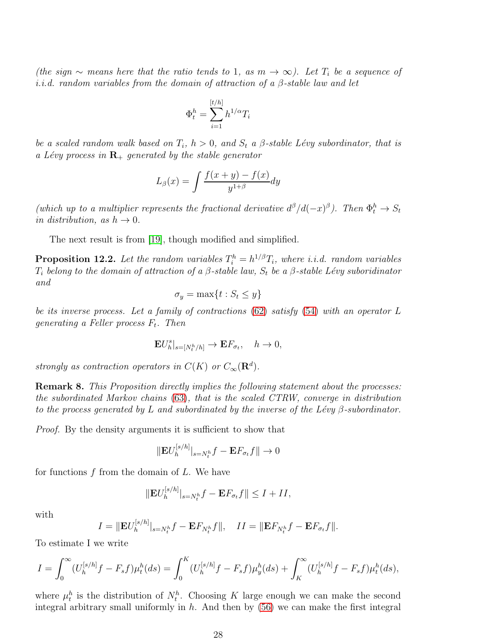(the sign  $\sim$  means here that the ratio tends to 1, as m  $\to \infty$ ). Let  $T_i$  be a sequence of i.i.d. random variables from the domain of attraction of a  $\beta$ -stable law and let

$$
\Phi_t^h = \sum_{i=1}^{[t/h]} h^{1/\alpha} T_i
$$

be a scaled random walk based on  $T_i$ ,  $h > 0$ , and  $S_t$  a  $\beta$ -stable Lévy subordinator, that is a Lévy process in  $\mathbf{R}_+$  generated by the stable generator

$$
L_{\beta}(x) = \int \frac{f(x+y) - f(x)}{y^{1+\beta}} dy
$$

(which up to a multiplier represents the fractional derivative  $d^{\beta}/d(-x)^{\beta}$ ). Then  $\Phi_t^h \to S_t$ in distribution, as  $h \to 0$ .

The next result is from [\[19\]](#page-30-11), though modified and simplified.

<span id="page-27-0"></span>**Proposition 12.2.** Let the random variables  $T_i^h = h^{1/\beta} T_i$ , where i.i.d. random variables  $T_i$  belong to the domain of attraction of a  $\beta$ -stable law,  $S_t$  be a  $\beta$ -stable Lévy suboridinator and

$$
\sigma_y = \max\{t : S_t \le y\}
$$

be its inverse process. Let a family of contractions [\(62\)](#page-26-1) satisfy [\(54\)](#page-24-4) with an operator L generating a Feller process  $F_t$ . Then

$$
\mathbf{E}U_h^s|_{s=[N_t^h/h]}\to \mathbf{E}F_{\sigma_t}, \quad h\to 0,
$$

strongly as contraction operators in  $C(K)$  or  $C_{\infty}(\mathbf{R}^d)$ .

Remark 8. This Proposition directly implies the following statement about the processes: the subordinated Markov chains [\(63\)](#page-26-0), that is the scaled CTRW, converge in distribution to the process generated by L and subordinated by the inverse of the Lévy  $\beta$ -subordinator.

Proof. By the density arguments it is sufficient to show that

$$
\|\mathbf{E}U_h^{[s/h]}\|_{s=N_t^h}f-\mathbf{E}F_{\sigma_t}f\|\to 0
$$

for functions  $f$  from the domain of  $L$ . We have

$$
\|\mathbf{E}U_h^{[s/h]}\|_{s=N_t^h}f-\mathbf{E}F_{\sigma_t}f\|\leq I+II,
$$

with

$$
I = \|\mathbf{E}U_h^{[s/h]}\|_{s=N_t^h}f - \mathbf{E}F_{N_t^h}f\|, \quad II = \|\mathbf{E}F_{N_t^h}f - \mathbf{E}F_{\sigma_t}f\|.
$$

To estimate I we write

$$
I = \int_0^\infty (U_h^{[s/h]}f - F_s f)\mu_t^h(ds) = \int_0^K (U_h^{[s/h]}f - F_s f)\mu_y^h(ds) + \int_K^\infty (U_h^{[s/h]}f - F_s f)\mu_t^h(ds),
$$

where  $\mu_t^h$  is the distribution of  $N_t^h$ . Choosing K large enough we can make the second integral arbitrary small uniformly in  $h$ . And then by  $(56)$  we can make the first integral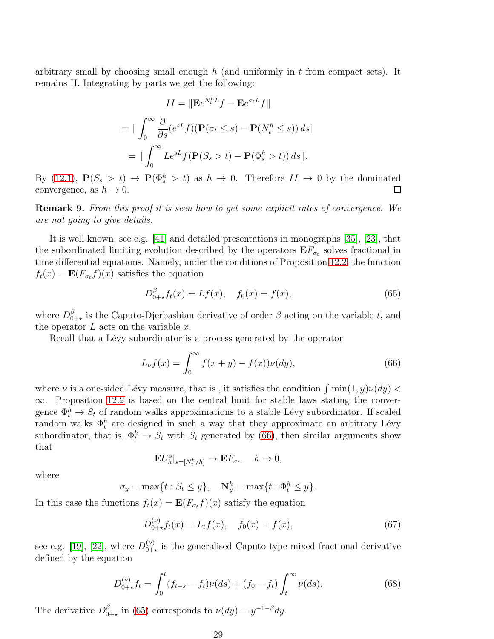arbitrary small by choosing small enough  $h$  (and uniformly in  $t$  from compact sets). It remains II. Integrating by parts we get the following:

$$
II = \|\mathbf{E}e^{N_t^h L}f - \mathbf{E}e^{\sigma_t L}f\|
$$
  
= 
$$
\|\int_0^\infty \frac{\partial}{\partial s}(e^{sL}f)(\mathbf{P}(\sigma_t \le s) - \mathbf{P}(N_t^h \le s)) ds\|
$$
  
= 
$$
\|\int_0^\infty Le^{sL}f(\mathbf{P}(S_s > t) - \mathbf{P}(\Phi_s^h > t)) ds\|.
$$

By [\(12.1\)](#page-26-2),  $P(S_s > t) \to P(\Phi_s^h > t)$  as  $h \to 0$ . Therefore  $II \to 0$  by the dominated convergence, as  $h \to 0$ .

Remark 9. From this proof it is seen how to get some explicit rates of convergence. We are not going to give details.

It is well known, see e.g. [\[41\]](#page-31-14) and detailed presentations in monographs [\[35\]](#page-31-15), [\[23\]](#page-30-13), that the subordinated limiting evolution described by the operators  $E F_{\sigma_t}$  solves fractional in time differential equations. Namely, under the conditions of Proposition [12.2,](#page-27-0) the function  $f_t(x) = \mathbf{E}(F_{\sigma_t}f)(x)$  satisfies the equation

<span id="page-28-0"></span>
$$
D_{0+\star}^{\beta} f_t(x) = Lf(x), \quad f_0(x) = f(x), \tag{65}
$$

where  $D_0^{\beta}$  $_{0+\star}^{\beta}$  is the Caputo-Djerbashian derivative of order  $\beta$  acting on the variable t, and the operator  $L$  acts on the variable  $x$ .

Recall that a Lévy subordinator is a process generated by the operator

<span id="page-28-2"></span>
$$
L_{\nu}f(x) = \int_0^{\infty} f(x + y) - f(x)\nu(dy),
$$
\n(66)

where  $\nu$  is a one-sided Lévy measure, that is, it satisfies the condition  $\int \min(1, y)\nu(dy)$  $\infty$ . Proposition [12.2](#page-27-0) is based on the central limit for stable laws stating the convergence  $\Phi_t^h \to S_t$  of random walks approximations to a stable Lévy subordinator. If scaled random walks  $\Phi_t^h$  are designed in such a way that they approximate an arbitrary Lévy subordinator, that is,  $\Phi_t^h \to S_t$  with  $S_t$  generated by [\(66\)](#page-28-2), then similar arguments show that

$$
\mathbf{E}U_h^s|_{s=[N_t^h/h]}\to \mathbf{E}F_{\sigma_t}, \quad h\to 0,
$$

where

 $\sigma_y = \max\{t : S_t \le y\}, \quad \mathbf{N}_y^h = \max\{t : \Phi_t^h \le y\}.$ 

In this case the functions  $f_t(x) = \mathbf{E}(F_{\sigma_t}f)(x)$  satisfy the equation

$$
D_{0+\star}^{(\nu)} f_t(x) = L_t f(x), \quad f_0(x) = f(x), \tag{67}
$$

see e.g. [\[19\]](#page-30-11), [\[22\]](#page-30-14), where  $D_{0+}^{(\nu)}$  $_{0+\star}^{(\nu)}$  is the generalised Caputo-type mixed fractional derivative defined by the equation

<span id="page-28-1"></span>
$$
D_{0+\star}^{(\nu)} f_t = \int_0^t (f_{t-s} - f_t) \nu(ds) + (f_0 - f_t) \int_t^\infty \nu(ds). \tag{68}
$$

The derivative  $D_0^{\beta}$  $_{0+\star}^{\beta}$  in [\(65\)](#page-28-0) corresponds to  $\nu(dy) = y^{-1-\beta}dy$ .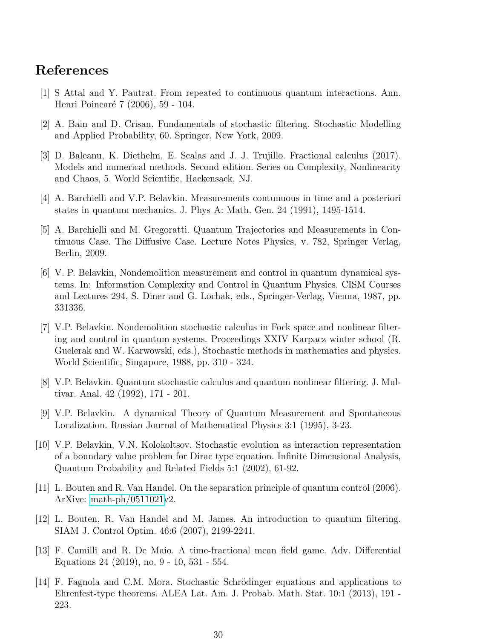### <span id="page-29-9"></span>References

- <span id="page-29-6"></span>[1] S Attal and Y. Pautrat. From repeated to continuous quantum interactions. Ann. Henri Poincaré 7 (2006), 59 - 104.
- <span id="page-29-8"></span>[2] A. Bain and D. Crisan. Fundamentals of stochastic filtering. Stochastic Modelling and Applied Probability, 60. Springer, New York, 2009.
- [3] D. Baleanu, K. Diethelm, E. Scalas and J. J. Trujillo. Fractional calculus (2017). Models and numerical methods. Second edition. Series on Complexity, Nonlinearity and Chaos, 5. World Scientific, Hackensack, NJ.
- <span id="page-29-10"></span>[4] A. Barchielli and V.P. Belavkin. Measurements contunuous in time and a posteriori states in quantum mechanics. J. Phys A: Math. Gen. 24 (1991), 1495-1514.
- [5] A. Barchielli and M. Gregoratti. Quantum Trajectories and Measurements in Continuous Case. The Diffusive Case. Lecture Notes Physics, v. 782, Springer Verlag, Berlin, 2009.
- <span id="page-29-0"></span>[6] V. P. Belavkin, Nondemolition measurement and control in quantum dynamical systems. In: Information Complexity and Control in Quantum Physics. CISM Courses and Lectures 294, S. Diner and G. Lochak, eds., Springer-Verlag, Vienna, 1987, pp. 331336.
- <span id="page-29-1"></span>[7] V.P. Belavkin. Nondemolition stochastic calculus in Fock space and nonlinear filtering and control in quantum systems. Proceedings XXIV Karpacz winter school (R. Guelerak and W. Karwowski, eds.), Stochastic methods in mathematics and physics. World Scientific, Singapore, 1988, pp. 310 - 324.
- <span id="page-29-2"></span>[8] V.P. Belavkin. Quantum stochastic calculus and quantum nonlinear filtering. J. Multivar. Anal. 42 (1992), 171 - 201.
- <span id="page-29-4"></span>[9] V.P. Belavkin. A dynamical Theory of Quantum Measurement and Spontaneous Localization. Russian Journal of Mathematical Physics 3:1 (1995), 3-23.
- <span id="page-29-5"></span>[10] V.P. Belavkin, V.N. Kolokoltsov. Stochastic evolution as interaction representation of a boundary value problem for Dirac type equation. Infinite Dimensional Analysis, Quantum Probability and Related Fields 5:1 (2002), 61-92.
- <span id="page-29-11"></span>[11] L. Bouten and R. Van Handel. On the separation principle of quantum control (2006). ArXive: [math-ph/0511021v](http://arxiv.org/abs/math-ph/0511021)2.
- <span id="page-29-3"></span>[12] L. Bouten, R. Van Handel and M. James. An introduction to quantum filtering. SIAM J. Control Optim. 46:6 (2007), 2199-2241.
- <span id="page-29-7"></span>[13] F. Camilli and R. De Maio. A time-fractional mean field game. Adv. Differential Equations 24 (2019), no. 9 - 10, 531 - 554.
- <span id="page-29-12"></span>[14] F. Fagnola and C.M. Mora. Stochastic Schrödinger equations and applications to Ehrenfest-type theorems. ALEA Lat. Am. J. Probab. Math. Stat. 10:1 (2013), 191 - 223.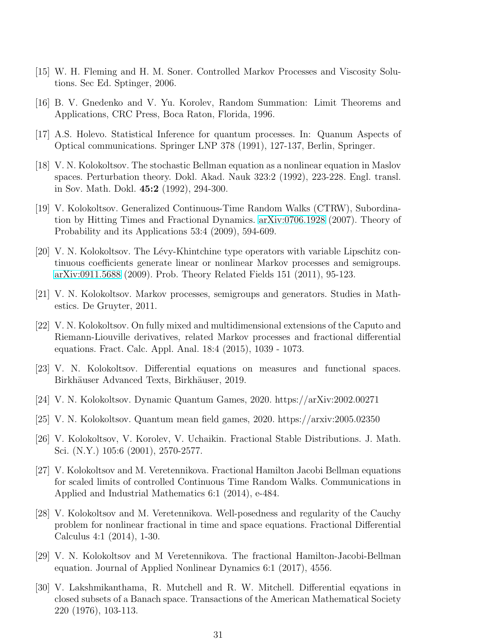- <span id="page-30-12"></span><span id="page-30-6"></span>[15] W. H. Fleming and H. M. Soner. Controlled Markov Processes and Viscosity Solutions. Sec Ed. Sptinger, 2006.
- <span id="page-30-9"></span>[16] B. V. Gnedenko and V. Yu. Korolev, Random Summation: Limit Theorems and Applications, CRC Press, Boca Raton, Florida, 1996.
- <span id="page-30-7"></span>[17] A.S. Holevo. Statistical Inference for quantum processes. In: Quanum Aspects of Optical communications. Springer LNP 378 (1991), 127-137, Berlin, Springer.
- [18] V. N. Kolokoltsov. The stochastic Bellman equation as a nonlinear equation in Maslov spaces. Perturbation theory. Dokl. Akad. Nauk 323:2 (1992), 223-228. Engl. transl. in Sov. Math. Dokl. 45:2 (1992), 294-300.
- <span id="page-30-11"></span>[19] V. Kolokoltsov. Generalized Continuous-Time Random Walks (CTRW), Subordination by Hitting Times and Fractional Dynamics. [arXiv:0706.1928](http://arxiv.org/abs/0706.1928) (2007). Theory of Probability and its Applications 53:4 (2009), 594-609.
- <span id="page-30-2"></span>[20] V. N. Kolokoltsov. The Lévy-Khintchine type operators with variable Lipschitz continuous coefficients generate linear or nonlinear Markov processes and semigroups. [arXiv:0911.5688](http://arxiv.org/abs/0911.5688) (2009). Prob. Theory Related Fields 151 (2011), 95-123.
- <span id="page-30-14"></span><span id="page-30-3"></span>[21] V. N. Kolokoltsov. Markov processes, semigroups and generators. Studies in Mathestics. De Gruyter, 2011.
- [22] V. N. Kolokoltsov. On fully mixed and multidimensional extensions of the Caputo and Riemann-Liouville derivatives, related Markov processes and fractional differential equations. Fract. Calc. Appl. Anal. 18:4 (2015), 1039 - 1073.
- <span id="page-30-13"></span><span id="page-30-8"></span>[23] V. N. Kolokoltsov. Differential equations on measures and functional spaces. Birkhäuser Advanced Texts, Birkhäuser, 2019.
- <span id="page-30-0"></span>[24] V. N. Kolokoltsov. Dynamic Quantum Games, 2020. https://arXiv:2002.00271
- <span id="page-30-10"></span>[25] V. N. Kolokoltsov. Quantum mean field games, 2020. https://arxiv:2005.02350
- [26] V. Kolokoltsov, V. Korolev, V. Uchaikin. Fractional Stable Distributions. J. Math. Sci. (N.Y.) 105:6 (2001), 2570-2577.
- <span id="page-30-4"></span>[27] V. Kolokoltsov and M. Veretennikova. Fractional Hamilton Jacobi Bellman equations for scaled limits of controlled Continuous Time Random Walks. Communications in Applied and Industrial Mathematics 6:1 (2014), e-484.
- [28] V. Kolokoltsov and M. Veretennikova. Well-posedness and regularity of the Cauchy problem for nonlinear fractional in time and space equations. Fractional Differential Calculus 4:1 (2014), 1-30.
- <span id="page-30-5"></span>[29] V. N. Kolokoltsov and M Veretennikova. The fractional Hamilton-Jacobi-Bellman equation. Journal of Applied Nonlinear Dynamics 6:1 (2017), 4556.
- <span id="page-30-1"></span>[30] V. Lakshmikanthama, R. Mutchell and R. W. Mitchell. Differential eqyations in closed subsets of a Banach space. Transactions of the American Mathematical Society 220 (1976), 103-113.